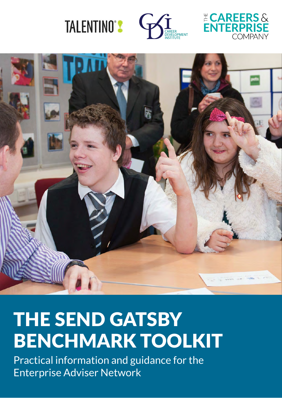





## THE SEND GATSBY BENCHMARK TOOLKIT

Practical information and guidance for the Enterprise Adviser Network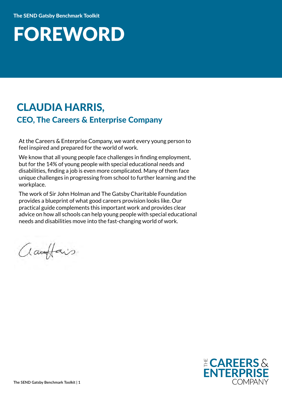### FOREWORD

### CLAUDIA HARRIS, CEO, The Careers & Enterprise Company

At the Careers & Enterprise Company, we want every young person to feel inspired and prepared for the world of work.

We know that all young people face challenges in finding employment, but for the 14% of young people with special educational needs and disabilities, finding a job is even more complicated. Many of them face unique challenges in progressing from school to further learning and the workplace.

The work of Sir John Holman and The Gatsby Charitable Foundation provides a blueprint of what good careers provision looks like. Our practical guide complements this important work and provides clear advice on how all schools can help young people with special educational needs and disabilities move into the fast-changing world of work.

amplais

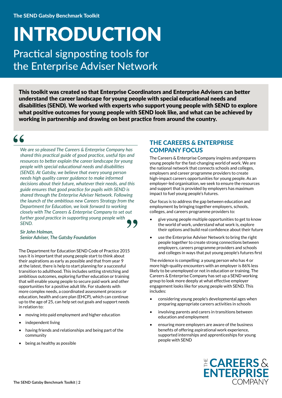## INTRODUCTION

Practical signposting tools for the Enterprise Adviser Network

This toolkit was created so that Enterprise Coordinators and Enterprise Advisers can better understand the career landscape for young people with special educational needs and disabilities (SEND). We worked with experts who support young people with SEND to explore what positive outcomes for young people with SEND look like, and what can be achieved by working in partnership and drawing on best practice from around the country.

 $\leq$   $\leq$ 

*We are so pleased The Careers & Enterprise Company has shared this practical guide of good practice, useful tips and resources to better explain the career landscape for young people with special educational needs and disabilities (SEND). At Gatsby, we believe that every young person needs high quality career guidance to make informed decisions about their future, whatever their needs, and this guide ensures that good practice for pupils with SEND is shared through the Enterprise Adviser Network. Following the launch of the ambitious new Careers Strategy from the Department for Education, we look forward to working closely with The Careers & Enterprise Company to set out further good practice in supporting young people with SEND.*

#### *Sir John Holman, Senior Adviser, The Gatsby Foundation*

The Department for Education SEND Code of Practice 2015 says it is important that young people start to think about their aspirations as early as possible and that from year 9 at the latest, there is help to start planning for a successful transition to adulthood. This includes setting stretching and ambitious outcomes, exploring further education or training that will enable young people to secure paid work and other opportunities for a positive adult life. For students with more complex needs, a coordinated assessment process or education, health and care plan (EHCP), which can continue up to the age of 25, can help set out goals and support needs in relation to:

- moving into paid employment and higher education
- independent living
- having friends and relationships and being part of the community
- being as healthy as possible

#### THE CAREERS & ENTERPRISE COMPANY FOCUS

The Careers & Enterprise Company inspires and prepares young people for the fast-changing world of work. We are the national network that connects schools and colleges, employers and career programme providers to create high-impact careers opportunities for young people. As an employer-led organisation, we seek to ensure the resources and support that is provided by employers has maximum impact to fuel young people's futures.

Our focus is to address the gap between education and employment by bringing together employers, schools, colleges, and careers programme providers to:

- give young people multiple opportunities to get to know the world of work, understand what work is, explore their options and build real confidence about their future
- use the Enterprise Adviser Network to bring the right people together to create strong connections between employers, careers programme providers and schools and colleges in ways that put young people's futures first

The evidence is compelling: a young person who has 4 or more high-quality encounters with an employer is 86% less likely to be unemployed or not in education or training. The Careers & Enterprise Company has set up a SEND working group to look more deeply at what effective employer engagement looks like for young people with SEND. This includes:

- considering young people's developmental ages when preparing appropriate careers activities in schools
- involving parents and carers in transitions between education and employment
- ensuring more employers are aware of the business benefits of offering aspirational work experience, supported internships and apprenticeships for young people with SEND

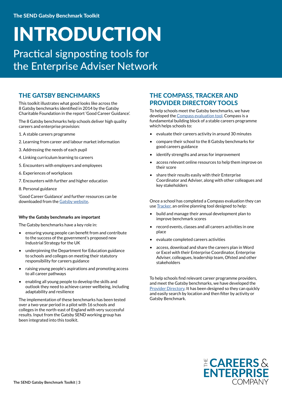## INTRODUCTION

Practical signposting tools for the Enterprise Adviser Network

#### THE GATSBY BENCHMARKS

This toolkit illustrates what good looks like across the 8 Gatsby benchmarks identified in 2014 by the Gatsby Charitable Foundation in the report 'Good Career Guidance'.

The 8 Gatsby benchmarks help schools deliver high quality careers and enterprise provision:

- 1. A stable careers programme
- 2. Learning from career and labour market information
- 3. Addressing the needs of each pupil
- 4. Linking curriculum learning to careers
- 5. Encounters with employers and employees
- 6. Experiences of workplaces
- 7. Encounters with further and higher education
- 8. Personal guidance

'Good Career Guidance' and further resources can be downloaded from the [Gatsby website](http://www.gatsby.org.uk/education/focus-areas/good-career-guidance).

#### **Why the Gatsby benchmarks are important**

The Gatsby benchmarks have a key role in:

- ensuring young people can benefit from and contribute to the success of the government's proposed new Industrial Strategy for the UK
- underpinning the Department for Education guidance to schools and colleges on meeting their statutory responsibility for careers guidance
- raising young people's aspirations and promoting access to all career pathways
- enabling all young people to develop the skills and outlook they need to achieve career wellbeing, including adaptability and resilience

The implementation of these benchmarks has been tested over a two-year period in a pilot with 16 schools and colleges in the north-east of England with very successful results. Input from the Gatsby SEND working group has been integrated into this toolkit.

#### THE COMPASS, TRACKER AND PROVIDER DIRECTORY TOOLS

To help schools meet the Gatsby benchmarks, we have developed the [Compass evaluation tool.](https://www.careersandenterprise.co.uk/schools-colleges/about-compass) Compass is a fundamental building block of a stable careers programme which helps schools to:

- evaluate their careers activity in around 30 minutes
- compare their school to the 8 Gatsby benchmarks for good careers guidance
- identify strengths and areas for improvement
- access relevant online resources to help them improve on their score
- share their results easily with their Enterprise Coordinator and Adviser, along with other colleagues and key stakeholders

Once a school has completed a Compass evaluation they can use [Tracker](https://www.careersandenterprise.co.uk/schools-colleges/about-tracker), an online planning tool designed to help:

- build and manage their annual development plan to improve benchmark scores
- record events, classes and all careers activities in one place
- evaluate completed careers activities
- access, download and share the careers plan in Word or Excel with their Enterprise Coordinator, Enterprise Adviser, colleagues, leadership team, Ofsted and other stakeholders

To help schools find relevant career programme providers, and meet the Gatsby benchmarks, we have developed the [Provider Directory.](https://www.careersandenterprise.co.uk/find-activity-provider) It has been designed so they can quickly and easily search by location and then filter by activity or Gatsby Benchmark.

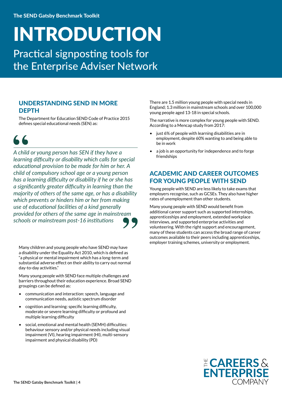## INTRODUCTION

Practical signposting tools for the Enterprise Adviser Network

#### UNDERSTANDING SEND IN MORE DEPTH

The Department for Education SEND Code of Practice 2015 defines special educational needs (SEN) as:

66

*A child or young person has SEN if they have a learning difficulty or disability which calls for special educational provision to be made for him or her. A child of compulsory school age or a young person has a learning difficulty or disability if he or she has a significantly greater difficulty in learning than the majority of others of the same age, or has a disability which prevents or hinders him or her from making use of educational facilities of a kind generally provided for others of the same age in mainstream schools or mainstream post-16 institutions*

Many children and young people who have SEND may have a disability under the Equality Act 2010, which is defined as "a physical or mental impairment which has a long-term and substantial adverse effect on their ability to carry out normal day-to-day activities."

Many young people with SEND face multiple challenges and barriers throughout their education experience. Broad SEND groupings can be defined as:

- communication and interaction: speech, language and communication needs, autistic spectrum disorder
- cognition and learning: specific learning difficulty, moderate or severe learning difficulty or profound and multiple learning difficulty
- social, emotional and mental health (SEMH) difficulties: behaviour sensory and/or physical needs including visual impairment (VI), hearing impairment (HI), multi-sensory impairment and physical disability (PD)

There are 1.5 million young people with special needs in England; 1.3 million in mainstream schools and over 100,000 young people aged 13-18 in special schools.

The narrative is more complex for young people with SEND. According to a Mencap study from 2017:

- just 6% of people with learning disabilities are in employment, despite 60% wanting to and being able to be in work
- a job is an opportunity for independence and to forge friendships

#### ACADEMIC AND CAREER OUTCOMES FOR YOUNG PEOPLE WITH SEND

Young people with SEND are less likely to take exams that employers recognise, such as GCSEs. They also have higher rates of unemployment than other students.

Many young people with SEND would benefit from additional career support such as supported internships, apprenticeships and employment, extended workplace interviews, and supported enterprise activities and volunteering. With the right support and encouragement, many of these students can access the broad range of career outcomes available to their peers including apprenticeships, employer training schemes, university or employment.

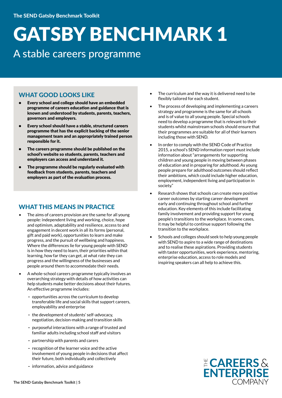### A stable careers programme

#### WHAT GOOD LOOKS LIKE

- Every school and college should have an embedded programme of careers education and guidance that is known and understood by students, parents, teachers, governors and employers.
- Every school should have a stable, structured careers programme that has the explicit backing of the senior management team and an appropriately trained person responsible for it.
- The careers programme should be published on the school's website so students, parents, teachers and employers can access and understand it.
- The programme should be regularly evaluated with feedback from students, parents, teachers and employers as part of the evaluation process.

#### WHAT THIS MEANS IN PRACTICE

- The aims of careers provision are the same for all young people: independent living and working, choice, hope and optimism, adaptability and resilience, access to and engagement in decent work in all its forms (personal, gift and paid work), opportunities to learn and make progress, and the pursuit of wellbeing and happiness. Where the differences lie for young people with SEND is in how they need to learn, their priorities within that learning, how far they can get, at what rate they can progress and the willingness of the businesses and people around them to accommodate their needs.
- A whole-school careers programme typically involves an overarching strategy with details of how activities can help students make better decisions about their futures. An effective programme includes:
	- opportunities across the curriculum to develop transferable life and social skills that support careers, employability and enterprise
	- the development of students' self-advocacy, negotiation, decision-making and transition skills
	- purposeful interactions with a range of trusted and familiar adults including school staff and visitors
	- partnership with parents and carers
	- recognition of the learner voice and the active involvement of young people in decisions that affect their future, both individually and collectively
	- information, advice and guidance
- The curriculum and the way it is delivered need to be flexibly tailored for each student.
- The process of developing and implementing a careers strategy and programme is the same for all schools and is of value to all young people. Special schools need to develop a programme that is relevant to their students whilst mainstream schools should ensure that their programmes are suitable for all of their learners including those with SEND.
- In order to comply with the SEND Code of Practice 2015, a school's SEND information report must include information about "arrangements for supporting children and young people in moving between phases of education and in preparing for adulthood. As young people prepare for adulthood outcomes should reflect their ambitions, which could include higher education, employment, independent living and participation in society."
- Research shows that schools can create more positive career outcomes by starting career development early and continuing throughout school and further education. Key elements of this include facilitating family involvement and providing support for young people's transitions to the workplace. In some cases, it may be helpful to continue support following the transition to the workplace.
- Schools and colleges should seek to help young people with SEND to aspire to a wide range of destinations and to realise these aspirations. Providing students with taster opportunities, work experience, mentoring, enterprise education, access to role models and inspiring speakers can all help to achieve this.

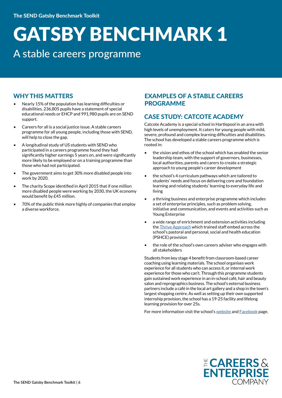### A stable careers programme

#### WHY THIS MATTERS

- Nearly 15% of the population has learning difficulties or disabilities. 236,805 pupils have a statement of special educational needs or EHCP and 991,980 pupils are on SEND support.
- Careers for all is a social justice issue. A stable careers programme for all young people, including those with SEND, will help to close the gap.
- A longitudinal study of US students with SEND who participated in a careers programme found they had significantly higher earnings 5 years on, and were significantly more likely to be employed or on a training programme than those who had not participated.
- The government aims to get 30% more disabled people into work by 2020.
- The charity Scope identified in April 2015 that if one million more disabled people were working by 2030, the UK economy would benefit by £45 million.
- 70% of the public think more highly of companies that employ a diverse workforce.

#### EXAMPLES OF A STABLE CAREERS PROGRAMME

#### CASE STUDY: CATCOTE ACADEMY

Catcote Academy is a special school in Hartlepool in an area with high levels of unemployment. It caters for young people with mild, severe, profound and complex learning difficulties and disabilities. The school has developed a stable careers programme which is rooted in:

- the vision and ethos of the school which has enabled the senior leadership team, with the support of governors, businesses, local authorities, parents and carers to create a strategic approach to young people's career development
- the school's 4 curriculum pathways which are tailored to students' needs and focus on delivering core and foundation learning and relating students' learning to everyday life and living
- a thriving business and enterprise programme which includes a set of enterprise principles, such as problem solving, initiative and communication, and events and activities such as Young Enterprise
- a wide range of enrichment and extension activities including the [Thrive Approach](https://www.thriveapproach.com/the-thrive-approach/) which trained staff embed across the school's pastoral and personal, social and health education (PSHCE) provision
- the role of the school's own careers adviser who engages with all stakeholders

Students from key stage 4 benefit from classroom-based career coaching using learning materials. The school organises work experience for all students who can access it, or internal work experience for those who can't. Through this programme students gain sustained work experience in an in-school café, hair and beauty salon and reprographics business. The school's external business partners include a café in the local art gallery and a shop in the town's largest shopping centre. As well as setting up their own supported internship provision, the school has a 19-25 facility and lifelong learning provision for over 25s.

For more information visit the school's [website](http://www.catcoteacademy.co.uk) and [Facebook](https://www.facebook.com/CatcoteAcademy/) page.

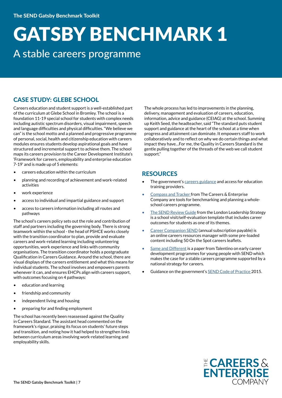### GATSBY BENCHMARK 1 A stable careers programme

#### CASE STUDY: GLEBE SCHOOL

Careers education and student support is a well-established part of the curriculum at Glebe School in Bromley. The school is a foundation 11-19 special school for students with complex needs including autistic spectrum disorders, visual impairment, speech and language difficulties and physical difficulties. "We believe we can" is the school motto and a planned and progressive programme of personal, social, health and citizenship education with careers modules ensures students develop aspirational goals and have structured and incremental support to achieve them. The school maps its careers provision to the Career Development Institute's 'Framework for careers, employability and enterprise education 7-19' and is made up of 5 elements:

- careers education within the curriculum
- planning and recording of achievement and work-related activities
- work experience
- access to individual and impartial guidance and support
- access to careers information including all routes and pathways

The school's careers policy sets out the role and contribution of staff and partners including the governing body. There is strong teamwork within the school - the head of PSHCE works closely with the transition coordinator to plan, provide and evaluate careers and work-related learning including volunteering opportunities, work experience and links with community organisations. The transition coordinator holds a postgraduate Qualification in Careers Guidance. Around the school, there are visual displays of the careers entitlement and what this means for individual students. The school involves and empowers parents whenever it can, and ensures EHCPs align with careers support, with outcomes focusing on 4 pathways:

- education and learning
- friendship and community
- independent living and housing
- preparing for and finding employment

The school has recently been reassessed against the Quality in Careers Standard. The assistant head commented on the framework's rigour, praising its focus on students' future steps and transition, and noting how it had helped to strengthen links between curriculum areas involving work-related learning and employability skills.

The whole process has led to improvements in the planning, delivery, management and evaluation of careers, education, information, advice and guidance (CEIAG) at the school. Summing up Keith Seed, the headteacher, said "The standard puts student support and guidance at the heart of the school at a time when progress and attainment can dominate. It empowers staff to work collaboratively and to reflect on why we do certain things and what impact they have…For me, the Quality in Careers Standard is the gentle pulling together of the threads of the web we call student support."

#### **RESOURCES**

- The government's [careers guidance](https://www.gov.uk/government/publications/careers-guidance-provision-for-young-people-in-schools) and access for education training providers.
- [Compass and Tracker](http://schoolshub.careersandenterprise.co.uk/login) from The Careers & Enterprise Company are tools for benchmarking and planning a wholeschool careers programme.
- [The SEND Review Guide](http://www.thesendreview.com) from the London Leadership Strategy is a school visit/self-evaluation template that includes career outcomes for students as one of its themes.
- [Career Companion SEND](http://www.prospectseducationresources.co.uk/products/9786000024208.html) (annual subscription payable) is an online careers resources manager with some pre-loaded content including 50 On the Spot careers leaflets.
- [Same and Different i](http://www.talentinocareers.co.uk/talentino/The%20Same%20and%20Different%20-%20Paper%20from%20Talentino.pdf)s a paper from Talentino on early career development programmes for young people with SEND which makes the case for a stable careers programme supported by a national strategy for careers.
- Guidance on the government's **[SEND Code of Practice 2](http://www.gov.uk/government/publications/send-code-of-practice-0-to-25)015.**

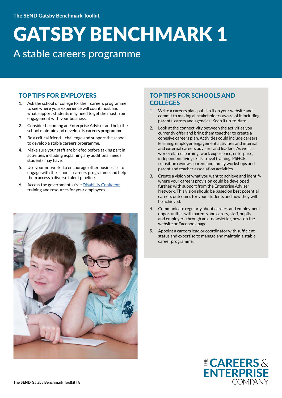### A stable careers programme

#### TOP TIPS FOR EMPLOYERS

- 1. Ask the school or college for their careers programme to see where your experience will count most and what support students may need to get the most from engagement with your business.
- 2. Consider becoming an Enterprise Adviser and help the school maintain and develop its careers programme.
- 3. Be a critical friend challenge and support the school to develop a stable careers programme.
- 4. Make sure your staff are briefed before taking part in activities, including explaining any additional needs students may have.
- 5. Use your networks to encourage other businesses to engage with the school's careers programme and help them access a diverse talent pipeline.
- 6. Access the government's free [Disability Confident](http://www.gov.uk/government/collections/disability-confident-campaign) training and resources for your employees.



#### TOP TIPS FOR SCHOOLS AND **COLLEGES**

- 1. Write a careers plan, publish it on your website and commit to making all stakeholders aware of it including parents, carers and agencies. Keep it up-to-date.
- 2. Look at the connectivity between the activities you currently offer and bring them together to create a cohesive careers plan. Activities could include careers learning, employer engagement activities and internal and external careers advisers and leaders. As well as work-related learning, work experience, enterprise, independent living skills, travel training, PSHCE, transition reviews, parent and family workshops and parent and teacher association activities.
- 3. Create a vision of what you want to achieve and identify where your careers provision could be developed further, with support from the Enterprise Adviser Network. This vision should be based on best potential careers outcomes for your students and how they will be achieved.
- 4. Communicate regularly about careers and employment opportunities with parents and carers, staff, pupils and employers through an e-newsletter, news on the website or Facebook page.
- 5. Appoint a careers lead or coordinator with sufficient status and expertise to manage and maintain a stable career programme.

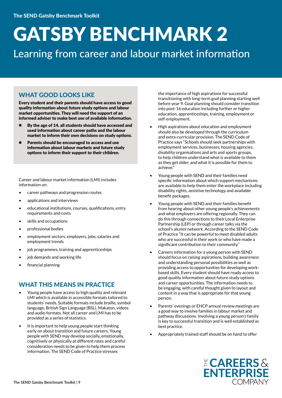Learning from career and labour market information

#### WHAT GOOD LOOKS LIKE

Every student and their parents should have access to good quality information about future study options and labour market opportunities. They will need the support of an informed adviser to make best use of available information.

- By the age of 14, all students should have accessed and used information about career paths and the labour market to inform their own decisions on study options.
- Parents should be encouraged to access and use information about labour markets and future study options to inform their support to their children.

Career and labour market information (LMI) includes information on:

- career pathways and progression routes
- applications and interviews
- educational institutions, courses, qualifications, entry requirements and costs
- skills and occupations
- professional bodies
- employment sectors, employers, jobs, salaries and employment trends
- job programmes, training and apprenticeships
- iob demands and working life
- financial planning

#### WHAT THIS MEANS IN PRACTICE

- Young people have access to high quality and relevant LMI which is available in accessible formats tailored to students' needs. Suitable formats include braille, symbol language, British Sign Language (BSL), Makaton, videos and audio formats. Not all career and LMI has to be provided as a series of statistics.
- It is important to help young people start thinking early on about transition and future careers. Young people with SEND may develop socially, emotionally, cognitively or physically at different rates and careful consideration needs to be given to help them process information. The SEND Code of Practice stresses

the importance of high aspirations for successful transitioning with long-term goal planning starting well before year 9. Goal planning should consider transition into post-16 education including further or higher education, apprenticeships, training, employment or self-employment.

- High aspirations about education and employment should also be developed through the curriculum and extra-curricular provision. The SEND Code of Practice says "Schools should seek partnerships with employment services, businesses, housing agencies, disability organisations and arts and sports groups, to help children understand what is available to them as they get older, and what it is possible for them to achieve."
- Young people with SEND and their families need specific information about which support mechanisms are available to help them enter the workplace including disability rights, assistive technology and available benefit packages.
- Young people with SEND and their families benefit from hearing about other young people's achievements and what employers are offering regionally. They can do this through connections to their Local Enterprise Partnership (LEP) or through career talks via the school's alumni network. According to the SEND Code of Practice "It can be powerful to meet disabled adults who are successful in their work or who have made a significant contribution to their community."
- Careers information for a young person with SEND should focus on raising aspirations, building awareness and understanding personal possibilities as well as providing access to opportunities for developing workbased skills. Every student should have ready access to good quality information about future study options and career opportunities. The information needs to be engaging, with careful thought given to layout and content in a way that is appropriate for that young person.
- Parents' evenings or EHCP annual review meetings are a good way to involve families in labour market and pathway discussions. Involving a young person's family is key to successful transition and is well established as best practice.
- Appropriately trained staff should be on hand to offer

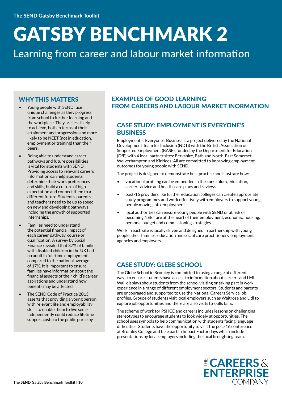Learning from career and labour market information

#### WHY THIS MATTERS

- Young people with SEND face unique challenges as they progress from school to further learning and the workplace. They are less likely to achieve, both in terms of their attainment and progression and more likely to be NEET (not in education, employment or training) than their peers.
- Being able to understand career pathways and future possibilities is vital for students with SEND. Providing access to relevant careers information can help students determine their work preferences and skills, build a culture of high expectation and connect them to a different future. Students, parents and teachers need to be up to speed on new and developing pathways including the growth of supported internships.
- Families need to understand the potential financial impact of each career pathway, course or qualification. A survey by Social Finance revealed that 37% of families with disabled children in the UK had no adult in full-time employment, compared to the national average of 17%. It is important to ensure families have information about the financial aspects of their child's career aspirations and understand how benefits may be affected.
- The SEND Code of Practice 2015 asserts that providing a young person with relevant life and employability skills to enable them to live semiindependently could reduce lifetime support costs to the public purse by

#### EXAMPLES OF GOOD LEARNING FROM CAREERS AND LABOUR MARKET INORMATION

#### CASE STUDY: EMPLOYMENT IS EVERYONE'S **BUSINESS**

Employment is Everyone's Business is a project delivered by the National Development Team for Inclusion (NDTi) with the British Association of Supported Employment (BASE), funded by the Department for Education (DfE) with 4 local partner sites: Berkshire, Bath and North-East Somerset, Wolverhampton and Kirklees. All are committed to improving employment outcomes for young people with SEND.

The project is designed to demonstrate best practice and illustrate how:

- vocational profiling can be embedded in the curriculum, education, careers advice and health, care plans and reviews
- post-16 providers like further education colleges can create appropriate study programmes and work effectively with employers to support young people moving into employment
- local authorities can ensure young people with SEND or at risk of becoming NEET are at the heart of their employment, economic, housing, personal budget and commissioning strategies

Work in each site is locally driven and designed in partnership with young people, their families, education and social care practitioners, employment agencies and employers.

#### CASE STUDY: GLEBE SCHOOL

The Glebe School in Bromley is committed to using a range of different ways to ensure students have access to information about careers and LMI. Wall displays show students from the school visiting or taking part in work experience in a range of different employment sectors. Students and parents are encouraged and supported to use the National Careers Service job profiles. Groups of students visit local employers such as Waitrose and Lidl to explore job opportunities and there are also visits to skills fairs.

The scheme of work for PSHCE and careers includes lessons on challenging stereotypes to encourage students to look widely at opportunities. The school uses symbols to help communication with students facing language difficulties. Students have the opportunity to visit the post-16 conference at Bromley College and take part in Impact Factor days which include presentations by local employers including the local firefighting team.

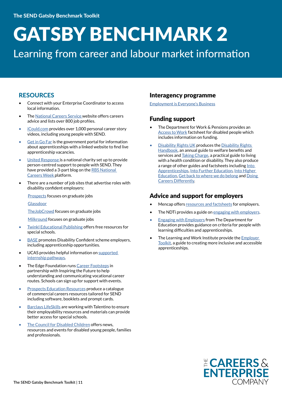### Learning from career and labour market information

#### **RESOURCES**

- Connect with your Enterprise Coordinator to access local information.
- The [National Careers Service w](http://nationalcareersservice.gov.uk )ebsite offers careers advice and lists over 800 job profiles.
- [iCould.com](http://iCould.com) provides over 1,000 personal career story videos, including young people with SEND.
- [Get in Go Far](http://www.getingofar.gov.uk) is the government portal for information about apprenticeships with a linked website to find live apprenticeship vacancies.
- [United Response](http://www.unitedresponse.org.uk) is a national charity set up to provide person-centred support to people with SEND. They have provided a 3-part blog on the [RBS National](http://nationalcareersweek.com/careersblog/)  [Careers Week p](http://nationalcareersweek.com/careersblog/)latform.
- There are a number of job sites that advertise roles with disability confident employers:

[Prospects](https://www.prospects.ac.uk/) focuses on graduate jobs

#### **[Glassdoor](https://www.glassdoor.co.uk/index.htm)**

[TheJobCrowd](http://www.thejobcrowd.com) focuses on graduate jobs

[Milkround](http://www.milkround.com) focuses on graduate jobs

- [Twinkl Educational Publishing](https://www.twinkl.co.uk/) offers free resources for special schools.
- **[BASE](http://www.base-uk.org)** promotes Disability Confident scheme employers, including apprenticeship opportunities.
- UCAS provides helpful information on supported [internship pathways.](https://www.ucas.com/ucas/16-18-choices/help-and-support/where-get-help/supported-internships)
- The Edge Foundation runs [Career Footsteps](http://www.edge.co.uk/CareerFootsteps) in partnership with Inspiring the Future to help understanding and communicating vocational career routes. Schools can sign up for support with events.
- **[Prospects Education Resources](http://www.prospectseducationresources.co.uk/products/9786000024208.html) produce a catalogue** of commercial careers resources tailored for SEND including software, booklets and prompt cards.
- **[Barclays LifeSkills](https://www.barclayslifeskills.com/) are working with Talentino to ensure** their employability resources and materials can provide better access for special schools.
- [The Council for Disabled Children](https://councilfordisabledchildren.org.uk/transition-information-network) offers news, resources and events for disabled young people, families and professionals.

#### Interagency programme

[Employment is Everyone's Business](https://www.ndti.org.uk/our-work/our-projects/employment1/employment-is-everyones-business1)

#### Funding support

- The Department for Work & Pensions provides an [Access to Work](https://www.gov.uk/government/publications/access-to-work-factsheet/access-to-work-factsheet-for-customers) factsheet for disabled people which includes information on funding.
- **[Disability Rights UK](https://www.disabilityrightsuk.org/) produces the Disability Rights** [Handbook](https://www.disabilityrightsuk.org/shop/disability-rights-handbook-2017-2018), an annual guide to welfare benefits and services and [Taking Charge,](https://www.disabilityrightsuk.org/news/2016/november/taking-charge-practical-help-disability-all-one-book) a practical guide to living with a health condition or disability. They also produce a range of other guides and factsheets including Into [Apprenticeships](https://www.disabilityrightsuk.org/intoapprenticeships)[, Into Further Education, Into Higher](https://www.disabilityrightsuk.org/sites/default/files/pdf/IntoFE2017.pdf)  [Education,](https://www.disabilityrightsuk.org/sites/default/files/pdf/IntoFE2017.pdf) [Get back to where we do belong](https://www.disabilityrightsuk.org/sites/default/files/pdf/GetBack30November.pdf) and [Doing](https://www.disabilityrightsuk.org/how-we-can-help/publications/doing-life-differently-series/doing-careers-differently)  [Careers Differently](https://www.disabilityrightsuk.org/how-we-can-help/publications/doing-life-differently-series/doing-careers-differently).

#### Advice and support for employers

- Mencap offers [resources and factsheets](https://www.mencap.org.uk/learning-disability-explained/resources-employers) for employers.
- The NDT iprovides a guide on [engaging with employers.](https://www.ndti.org.uk/uploads/files/Engaging_with_Employers_Guide_FINAL.pdf)
- **[Engaging with Employers](https://www.ndti.org.uk/uploads/files/Engaging_with_Employers_Guide_FINAL.pdf) from The Department for** Education provides guidance on criteria for people with learning difficulties and apprenticeships.
- The Learning and Work Institute provide the **Employer** [Toolkit](http://www.employer-toolkit.org.uk/), a guide to creating more inclusive and accessible apprenticeships.

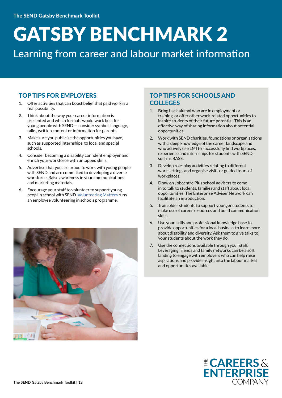Learning from career and labour market information

#### TOP TIPS FOR EMPLOYERS

- 1. Offer activities that can boost belief that paid work is a real possibility.
- 2. Think about the way your career information is presented and which formats would work best for young people with SEND — consider symbol, language, talks, written content or information for parents.
- 3. Make sure you publicise the opportunities you have, such as supported internships, to local and special schools.
- 4. Consider becoming a disability confident employer and enrich your workforce with untapped skills.
- 5. Advertise that you are proud to work with young people with SEND and are committed to developing a diverse workforce. Raise awareness in your communications and marketing materials.
- 6. Encourage your staff to volunteer to support young peopl in school with SEND. [Volunteering Matters](https://volunteeringmatters.org.uk/) runs an employee volunteering in schools programme.



#### TOP TIPS FOR SCHOOLS AND **COLLEGES**

- 1. Bring back alumni who are in employment or training, or offer other work-related opportunities to inspire students of their future potential. This is an effective way of sharing information about potential opportunities.
- 2. Work with SEND charities, foundations or organisations with a deep knowledge of the career landscape and who actively use LMI to successfully find workplaces, experience and internships for students with SEND, such as BASE.
- 3. Develop role-play activities relating to different work settings and organise visits or guided tours of workplaces.
- 4. Draw on Jobcentre Plus school advisers to come in to talk to students, families and staff about local opportunities. The Enterprise Adviser Network can facilitate an introduction.
- 5. Train older students to support younger students to make use of career resources and build communication skills.
- 6. Use your skills and professional knowledge base to provide opportunities for a local business to learn more about disability and diversity. Ask them to give talks to your students about the work they do.
- 7. Use the connections available through your staff. Leveraging friends and family networks can be a soft landing to engage with employers who can help raise aspirations and provide insight into the labour market and opportunities available.

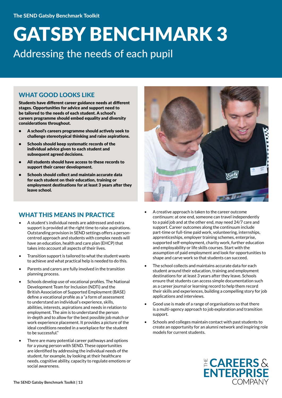### GATSBY BENCHMARK 3 Addressing the needs of each pupil

#### WHAT GOOD LOOKS LIKE

Students have different career guidance needs at different stages. Opportunities for advice and support need to be tailored to the needs of each student. A school's careers programme should embed equality and diversity considerations throughout.

- A school's careers programme should actively seek to challenge stereotypical thinking and raise aspirations.
- Schools should keep systematic records of the individual advice given to each student and subsequent agreed decisions.
- All students should have access to these records to support their career development.
- Schools should collect and maintain accurate data for each student on their education, training or employment destinations for at least 3 years after they leave school.

#### WHAT THIS MEANS IN PRACTICE

- A student's individual needs are addressed and extra support is provided at the right time to raise aspirations. Outstanding provision in SEND settings offers a personcentred approach and students with complex needs will have an education, health and care plan (EHCP) that takes into account all aspects of their lives.
- Transition support is tailored to what the student wants to achieve and what practical help is needed to do this.
- Parents and carers are fully involved in the transition planning process.
- Schools develop use of vocational profiles. The National Development Team for Inclusion (NDTi) and the British Association of Supported Employment (BASE) define a vocational profile as a "a form of assessment to understand an individual's experience, skills, abilities, interests, aspirations and needs in relation to employment. The aim is to understand the person in-depth and to allow for the best possible job match or work experience placement. It provides a picture of the ideal conditions needed in a workplace for the student to be successful."
- There are many potential career pathways and options for a young person with SEND. These opportunities are identified by addressing the individual needs of the student, for example, by looking at their healthcare needs, cognitive ability, capacity to regulate emotions or social awareness.



- A creative approach is taken to the career outcome continuum: at one end, someone can travel independently to a paid job and at the other end, may need 24/7 care and support. Career outcomes along the continuum include part-time or full-time paid work, volunteering, internships, apprenticeships, employer training schemes, enterprise, supported self-employment, charity work, further education and employability or life skills courses. Start with the assumption of paid employment and look for opportunities to shape and carve work so that students can succeed.
- The school collects and maintains accurate data for each student around their education, training and employment destinations for at least 3 years after they leave. Schools ensure that students can access simple documentation such as a career journal or learning record to help them record their skills and experiences, building a compelling story for job applications and interviews.
- Good use is made of a range of organisations so that there is a multi-agency approach to job exploration and transition support.
- Schools and colleges maintain contact with past students to create an opportunity for an alumni network and inspiring role models for current students.

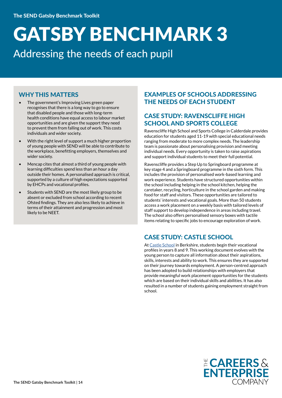### GATSBY BENCHMARK 3 Addressing the needs of each pupil

#### WHY THIS MATTERS

- The government's Improving Lives green paper recognises that there is a long way to go to ensure that disabled people and those with long-term health conditions have equal access to labour market opportunities and are given the support they need to prevent them from falling out of work. This costs individuals and wider society.
- With the right level of support a much higher proportion of young people with SEND will be able to contribute to the workplace, benefitting employers, themselves and wider society.
- Mencap cites that almost a third of young people with learning difficulties spend less than an hour a day outside their homes. A personalised approach is critical, supported by a culture of high expectations supported by EHCPs and vocational profiles.
- Students with SEND are the most likely group to be absent or excluded from school according to recent Ofsted findings. They are also less likely to achieve in terms of their attainment and progression and most likely to be NEET.

#### EXAMPLES OF SCHOOLS ADDRESSING THE NEEDS OF EACH STUDENT

#### CASE STUDY: RAVENSCLIFFE HIGH SCHOOL AND SPORTS COLLEGE

Ravenscliffe High School and Sports College in Calderdale provides education for students aged 11-19 with special educational needs ranging from moderate to more complex needs. The leadership team is passionate about personalising provision and meeting individual needs. Every opportunity is taken to raise aspirations and support individual students to meet their full potential.

Ravenscliffe provides a Step Up to Springboard programme at key stage 4 and a Springboard programme in the sixth form. This includes the provision of personalised work-based learning and work experience. Students have structured opportunities within the school including helping in the school kitchen, helping the caretaker, recycling, horticulture in the school garden and making food for staff and visitors. These opportunities are tailored to students' interests and vocational goals. More than 50 students access a work placement on a weekly basis with tailored levels of staff support to develop independence in areas including travel. The school also offers personalised sensory boxes with tactile items relating to specific jobs to encourage exploration of work.

#### CASE STUDY: CASTLE SCHOOL

At [Castle School](http://www.thecastleschoolnewbury.org.uk/) in Berkshire, students begin their vocational profiles in years 8 and 9. This working document evolves with the young person to capture all information about their aspirations, skills, interests and ability to work. This ensures they are supported on their journey towards employment. A person-centred approach has been adopted to build relationships with employers that provide meaningful work placement opportunities for the students which are based on their individual skills and abilities. It has also resulted in a number of students gaining employment straight from school.

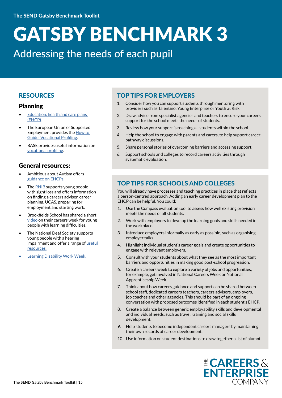Addressing the needs of each pupil

#### RESOURCES

#### Planning

- Education, health and care plans [\(EHCP\).](https://skybadger.co.uk/2017/01/04/what-is-an-education-health-care-plan-ehcp/)
- The European Union of Supported Employment provides the [How to](http://www.euse.org/content/how-to-guides/VocationalProfiling-18Aug.pdf)  [Guide: Vocational Profiling](http://www.euse.org/content/how-to-guides/VocationalProfiling-18Aug.pdf).
- BASE provides useful information on [vocational profiling](https://www.base-uk.org/sites/default/files/document-archive/10407WorkshopProgramme/b3_-_vocational_profiling_compatibility_mode.pdf).

#### General resources:

- Ambitious about Autism offers [guidance on EHCPs](https://www.ambitiousaboutautism.org.uk/understanding-autism/education/statements-and-education-health-and-care-plans).
- The [RNIB](http://www.rnib.org.uk/young-people-starting-work/finding-careers-adviser) supports young people with sight loss and offers information on finding a careers adviser, career planning, UCAS, preparing for employment and starting work.
- Brookfields School has shared a short [video](https://vimeo.com/175372604) on their careers week for young people with learning difficulties.
- The National Deaf Society supports young people with a hearing impairment and offer a range of useful [resources.](http://www.ndcs.org.uk/professional_support/our_resources/)
- Learning Disability Work Week.

#### TOP TIPS FOR EMPLOYERS

- 1. Consider how you can support students through mentoring with providers such as Talentino, Young Enterprise or Youth at Risk.
- 2. Draw advice from specialist agencies and teachers to ensure your careers support for the school meets the needs of students.
- 3. Review how your support is reaching all students within the school.
- 4. Help the school to engage with parents and carers, to help support career pathway discussions.
- 5. Share personal stories of overcoming barriers and accessing support.
- 6. Support schools and colleges to record careers activities through systematic evaluation.

#### TOP TIPS FOR SCHOOLS AND COLLEGES

You will already have processes and teaching practices in place that reflects a person-centred approach. Adding an early career development plan to the EHCP can be helpful. You could:

- 1. Use the [Compass evaluation tool](https://www.careersandenterprise.co.uk/schools-colleges/about-compass) to assess how well existing provision meets the needs of all students.
- 2. Work with employers to develop the learning goals and skills needed in the workplace.
- 3. Introduce employers informally as early as possible, such as organising employer talks.
- 4. Highlight individual student's career goals and create opportunities to engage with relevant employers.
- 5. Consult with your students about what they see as the most important barriers and opportunities in making good post-school progression.
- 6. Create a careers week to explore a variety of jobs and opportunities, for example, get involved in National Careers Week or National Apprenticeship Week.
- 7. Think about how careers guidance and support can be shared between school staff, dedicated careers teachers, careers advisers, employers, job coaches and other agencies. This should be part of an ongoing conversation with proposed outcomes identified in each student's EHCP.
- 8. Create a balance between generic employability skills and developmental and individual needs, such as travel, training and social skills development.
- 9. Help students to become independent careers managers by maintaining their own records of career development.
- 10. Use information on student destinations to draw together a list of alumni

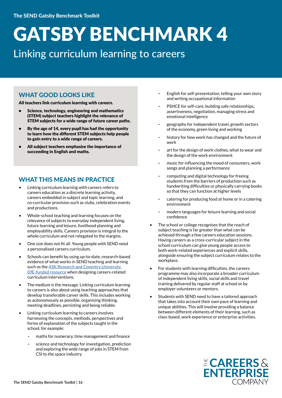### Linking curriculum learning to careers

#### WHAT GOOD LOOKS LIKE

All teachers link curriculum learning with careers.

- Science, technology, engineering and mathematics (STEM) subject teachers highlight the relevance of STEM subjects for a wide range of future career paths.
- By the age of 14, every pupil has had the opportunity to learn how the different STEM subjects help people to gain entry to a wide range of careers.
- All subject teachers emphasise the importance of succeeding in English and maths.

#### WHAT THIS MEANS IN PRACTICE

- Linking curriculum learning with careers refers to careers education as a discrete learning activity, careers embedded in subject and topic learning, and co-curricular provision such as clubs, celebration events and productions.
- Whole-school teaching and learning focuses on the relevance of subjects to everyday independent living, future learning and leisure, livelihood planning and employability skills. Careers provision is integral to the whole curriculum and not relegated to the margins.
- One size does not fit all. Young people with SEND need a personalised careers curriculum.
- Schools can benefit by using up-to-date, research-based evidence of what works in SEND teaching and learning such as the ASK Research and Coventry University [DfE-funded resource](http://www.sendgateway.org.uk/resources.sen-support-research-evidence-on-effective-approaches-and-examples-of-current-practice-in-good-and-outstanding-schools-and-colleges.html) when designing careers-related curriculum interventions.
- The medium is the message. Linking curriculum learning to careers is also about using teaching approaches that develop transferable career skills. This includes working as autonomously as possible, organising thinking, meeting deadlines, persisting and being reliable.
- Linking curriculum learning to careers involves harnessing the concepts, methods, perspectives and forms of explanation of the subjects taught in the school, for example:
	- maths for numeracy, time management and finance
	- science and technology for investigation, prediction and exploring the wide range of jobs in STEM from CSI to the space industry
- English for self-presentation, telling your own story and writing occupational information
- PSHCE for self-care, building safe relationships, assertiveness, negotiation, managing stress and emotional intelligence
- geography for independent travel, growth sectors of the economy, green living and working
- history for how work has changed and the future of work
- art for the design of work clothes, what to wear and the design of the work environment
- music for influencing the mood of consumers, work songs and planning a performance
- computing and digital technology for freeing students from the barriers of production such as handwriting difficulties or physically carrying books so that they can function at higher levels
- catering for producing food at home or in a catering environment
- modern languages for leisure learning and social confidence
- The school or college recognises that the reach of subject teaching is far greater than what can be achieved through a few careers education sessions. Having careers as a cross-curricular subject in the school curriculum can give young people access to both work-related experiences and explicit skills, alongside ensuring the subject curriculum relates to the workplace.
- For students with learning difficulties, the careers programme may also incorporate a broader curriculum of independent living skills, social skills and travel training delivered by regular staff at school or by employer volunteers or mentors.
- Students with SEND need to have a tailored approach that takes into account their own pace of learning and unique abilities. This will involve providing a balance between different elements of their learning, such as class-based, work experience or enterprise activities.

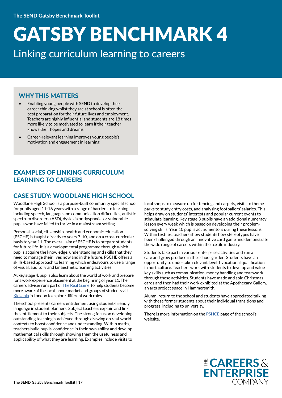### Linking curriculum learning to careers

#### WHY THIS MATTERS

- Enabling young people with SEND to develop their career thinking whilst they are at school is often the best preparation for their future lives and employment. Teachers are highly influential and students are 18 times more likely to be motivated to learn if their teacher knows their hopes and dreams.
- Career-relevant learning improves young people's motivation and engagement in learning.

#### EXAMPLES OF LINKING CURRICULUM LEARNING TO CAREERS

#### CASE STUDY: WOODLANE HIGH SCHOOL

Woodlane High School is a purpose-built community special school for pupils aged 11-16 years with a range of barriers to learning including speech, language and communication difficulties, autistic spectrum disorders (ASD), dyslexia or dyspraxia, or vulnerable pupils who have failed to thrive in a mainstream setting.

Personal, social, citizenship, health and economic education (PSCHE) is taught directly to years 7-10, and on a cross-curricular basis to year 11. The overall aim of PSCHE is to prepare students for future life. It is a developmental programme through which pupils acquire the knowledge, understanding and skills that they need to manage their lives now and in the future. PSCHE offers a skills-based approach to learning which endeavours to use a range of visual, auditory and kinaesthetic learning activities.

At key stage 4, pupils also learn about the world of work and prepare for a work experience placement at the beginning of year 11. The careers adviser runs part of [The Real Game](http://www.realgame.co.uk/) to help students become more aware of the local labour market and groups of students visit [Kidzania](https://kidzania.co.uk/) in London to explore different work roles.

The school presents careers entitlement using student-friendly language in student planners. Subject teachers explain and link the entitlement to their subjects. The strong focus on developing outstanding teaching is achieved through drawing on real-world contexts to boost confidence and understanding. Within maths, teachers build pupils' confidence in their own ability and develop mathematical skills through showing them the usefulness and applicability of what they are learning. Examples include visits to

local shops to measure up for fencing and carpets, visits to theme parks to study entry costs, and analysing footballers' salaries. This helps draw on students' interests and popular current events to stimulate learning. Key stage 3 pupils have an additional numeracy lesson every week which is based on developing their problemsolving skills. Year 10 pupils act as mentors during these lessons. Within textiles, teachers show students how stereotypes have been challenged through an innovative card game and demonstrate the wide range of careers within the textile industry.

Students take part in various enterprise activities and run a café and grow produce in the school garden. Students have an opportunity to undertake relevant level 1 vocational qualifications in horticulture. Teachers work with students to develop and value key skills such as communication, money handling and teamwork through these activities. Students have made and sold Christmas cards and then had their work exhibited at the Apothecary Gallery, an arts project space in Hammersmith.

Alumni return to the school and students have appreciated talking with these former students about their individual transitions and progress, including to university.

There is more information on the [PSHCE](http://www.woodlane.lbhf.sch.uk/page/?title=PSCHE&pid=126) page of the school's website.

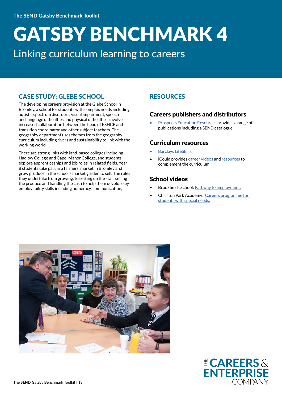### GATSBY BENCHMARK 4 Linking curriculum learning to careers

#### CASE STUDY: GLEBE SCHOOL

The developing careers provision at the Glebe School in Bromley, a school for students with complex needs including autistic spectrum disorders, visual impairment, speech and language difficulties and physical difficulties, involves increased collaboration between the head of PSHCE and transition coordinator and other subject teachers. The geography department uses themes from the geography curriculum including rivers and sustainability to link with the working world.

There are strong links with land-based colleges including Hadlow College and Capel Manor College, and students explore apprenticeships and job roles in related fields. Year 8 students take part in a farmers' market in Bromley and grow produce in the school's market garden to sell. The roles they undertake from growing, to setting up the stall, selling the produce and handling the cash to help them develop key employability skills including numeracy, communication,

#### **RESOURCES**

#### Careers publishers and distributors

• [Prospects Education Resources](http://www.prospectseducationresources.co.uk/) provides a range of publications including a SEND catalogue.

#### Curriculum resources

- [Barclays LifeSkills](https://www.barclayslifeskills.com/).
- iCould provides [career videos](https://icould.com/watch-career-videos/) and [resources](https://icould.com/resources/) to complement the curriculum.

#### School videos

- Brookfields School: [Pathway to employment.](http://brookfieldsschool.org/curriculum/what-we-teach/pathway-to-)
- Charlton Park Academy: [Careers programme for](https://www.youtube.com/watch?v=uCyM0IFnTEM)  [students with special needs.](https://www.youtube.com/watch?v=uCyM0IFnTEM)



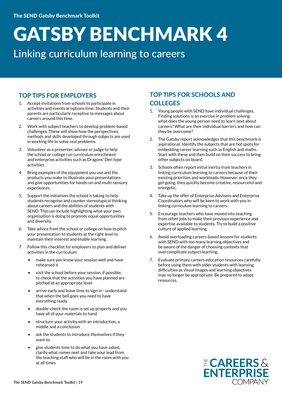### Linking curriculum learning to careers

#### TOP TIPS FOR EMPLOYERS

- 1. Accept invitations from schools to participate in activities and events at options time. Students and their parents are particularly receptive to messages about careers around this time.
- 2. Work with subject teachers to develop problem-based challenges. These will show how the perspectives, methods and skills developed through subjects are used in working life to solve real problems.
- 3. Volunteer as a presenter, adviser or judge to help the school or college run curriculum enrichment and enterprise activities such as Dragons' Den type activities.
- 4. Bring examples of the equipment you use and the products you make to illustrate your presentations and give opportunities for hands-on and multi-sensory experiences.
- 5. Support the initiatives the school is taking to help students recognise and counter stereotypical thinking about careers and the abilities of students with SEND. This can include highlighting what your own organisation is doing to promote equal opportunities and diversity.
- 6. Take advice from the school or college on how to pitch your presentation to students at the right level to maintain their interest and enable learning.
- 7. Follow this checklist for employers to plan and deliver activities in the curriculum:
	- make sure you know your session well and have rehearsed it
	- visit the school before your session, if possible, to check that the activities you have planned are pitched at an appropriate level
	- arrive early and leave time to sign in understand that when the bell goes you need to have everything ready
	- double-check the room is set up properly and you have all of your materials to hand
	- structure your activity with an introduction, a middle and a conclusion
	- ask the students to introduce themselves if they want to
	- give students time to do what you have asked, clarify what comes next and take your lead from the teaching staff who will be in the room with you at all times

#### TOP TIPS FOR SCHOOLS AND **COLLEGES**

- 1. Young people with SEND have individual challenges. Finding solutions is an exercise in problem solving: what does the young person need to learn next about careers? What are their individual barriers and how can they be overcome?
- 2. The Gatsby report acknowledges that this benchmark is aspirational. Identify the subjects that are hot spots for embedding career learning such as English and maths. Start with these and then build on their success to bring other subjects on board.
- 3. Schools often report initial inertia from teachers in linking curriculum learning to careers because of their existing priorities and workloads. However, once they get going, they quickly become creative, resourceful and energetic.
- 4. Take up the offer of Enterprise Advisers and Enterprise Coordinators who will be keen to work with you in linking curriculum learning to careers.
- 5. Encourage teachers who have moved into teaching from other jobs to make their previous experience and expertise available to students. Try to build a positive culture of applied learning.
- 6. Avoid overloading careers-based lessons for students with SEND with too many learning objectives and be aware of the danger of choosing contexts that overcomplicate subject learning.
- 7. Evaluate primary careers education resources carefully before using them with older students with learning difficulties as visual images and learning objectives may no longer be appropriate. Be prepared to adapt resources.

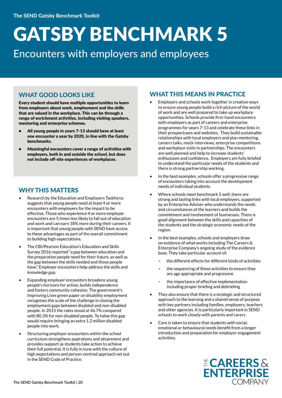Encounters with employers and employees

#### WHAT GOOD LOOKS LIKE

Every student should have multiple opportunities to learn from employers about work, employment and the skills that are valued in the workplace. This can be through a range of enrichment activities, including visiting speakers, mentoring and enterprise schemes.

- All young people in years 7-13 should have at least one encounter a year by 2020, in line with the Gatsby benchmarks.
- Meaningful encounters cover a range of activities with employers, both in and outside the school, but does not include off-site experiences of workplaces.

#### WHY THIS MATTERS

- Research by the Education and Employers Taskforce suggests that young people need at least 4 or more encounters with employers for the impact to be effective. Those who experience 4 or more employer encounters are 5 times less likely to fall out of education and work and can earn 18% more during their careers. It is important that young people with SEND have access to these advantages as part of the overall commitment to building high expectations.
- The CBI/Pearson Education's Education and Skills Survey 2016 reported "a gap between education and the preparation people need for their future, as well as the gap between the skills needed and those people have." Employer encounters help address the skills and knowledge gap.
- Expanding employer encounters broadens young people's horizons for action, builds independence and fosters community cohesion. The government's Improving Lives green paper on disability employment recognises the scale of the challenge in closing the employment gaps between disabled and non-disabled people. In 2015 the rates stood at 46.7% compared with 80.3% for non-disabled people. To halve this gap would require bringing an extra 1.2 million disabled people into work.
- Structuring employer encounters within the school curriculum strengthens aspirations and attainment and provides support as students take action to achieve their full potential. It is fully in tune with the culture of high expectations and person-centred approach set out in the SEND Code of Practice.

#### WHAT THIS MEANS IN PRACTICE

- Employers and schools work together in creative ways to ensure young people build a rich picture of the world of work and are well prepared to take up workplace opportunities. Schools provide first-hand encounters with employers as part of careers and enterprise programmes for years 7-13 and celebrate these links in their prospectuses and websites. They build sustainable relationships with local employers and plan mentoring, careers talks, mock interviews, enterprise competitions and workplace visits in partnerships. The encounters are well planned and help to increase students' enthusiasm and confidence. Employers are fully briefed to understand the particular needs of the students and there is strong partnership working.
- In the best examples, schools offer a progressive range of encounters taking into account the development needs of individual students.
- Where schools meet benchmark 5 well, there are strong and lasting links with local employers, supported by an Enterprise Adviser who understands the needs and circumstances of the learners and builds the commitment and involvement of businesses. There is good alignment between the skills and capacities of the students and the strategic economic needs of the region.
- In the best examples, schools and employers draw on evidence of what works including The Careers & Enterprise Company's ongoing study of the evidence base. They take particular account of:
	- the different effects for different kinds of activities
	- the sequencing of these activities to ensure they are age appropriate and progressive
	- the importance of effective implementation including proper briefing and debriefing
- They also ensure that there is a strategic and structured approach to the learning and a shared sense of purpose with key partners including families, employers, teachers and other agencies. It is particularly important in SEND schools to work closely with parents and carers.
- Care is taken to ensure that students with social, emotional or behavioural needs benefit from a longer introduction and preparation for employer engagement activities.

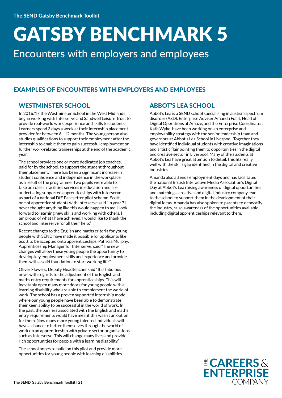Encounters with employers and employees

#### EXAMPLES OF ENCOUNTERS WITH EMPLOYERS AND EMPLOYEES

#### WESTMINSTER SCHOOL

In 2016/17 the Westminster School in the West Midlands began working with Interserve and Sandwell Leisure Trust to provide real-world work experience and skills to students. Learners spend 3 days a week at their internship placement provider for between 6 - 12 months. The young person also studies qualifications to support their employment after the internship to enable them to gain successful employment or further work-related traineeships at the end of the academic year.

The school provides one or more dedicated job coaches, paid for by the school, to support the student throughout their placement. There has been a significant increase in student confidence and independence in the workplace as a result of the programme. Two pupils were able to take on roles in facilities services in education and are undertaking supported apprenticeships with Interserve as part of a national DfE Pacesetter pilot scheme. Scott, one of apprentice students with Interserve said "In year 7 I never thought anything like this would happen to me. I look forward to learning new skills and working with others. I am proud of what I have achieved. I would like to thank the school and Interserve for all their help."

Recent changes to the English and maths criteria for young people with SEND have made it possible for applicants like Scott to be accepted onto apprenticeships. Patricia Murphy, Apprenticeship Manager for Interserve, said "The new changes will allow these young people the opportunity to develop key employment skills and experience and provide them with a solid foundation to start working life."

Oliver Flowers, Deputy Headteacher said "It is fabulous news with regards to the adjustment of the English and maths entry requirements for apprenticeships. This will inevitably open many more doors for young people with a learning disability who are able to complement the world of work. The school has a proven supported internship model where our young people have been able to demonstrate their keen ability to be successful in the world of work. In the past, the barriers associated with the English and maths entry requirements would have meant this wasn't an option for them. Now many more young talented individuals will have a chance to better themselves through the world of work on an apprenticeship with private sector organisations such as Interserve. This will change many lives and provide rich opportunities for people with a learning disability."

The school hopes to build on this pilot and provide more opportunities for young people with learning disabilities.

#### ABBOT'S LEA SCHOOL

Abbot's Lea is a SEND school specialising in austism spectrum disorder (ASD). Enterprise Adviser Amanda Follit, Head of Digital Operations at Amaze, and the Enterprise Coordinator, Kath Wyke, have been working on an enterprise and employability strategy with the senior leadership team and governors at Abbot's Lea School in Liverpool. Together they have identified individual students with creative imaginations and artistic flair pointing them to opportunities in the digital and creative sector in Liverpool. Many of the students at Abbot's Lea have great attention to detail; this fits really well with the skills gap identified in the digital and creative industries.

Amanda also attends employment days and has facilitated the national British Interactive Media Association's Digital Day at Abbot's Lea raising awareness of digital opportunities and matching a creative and digital industry company lead to the school to support them in the development of their digital ideas. Amanda has also spoken to parents to demystify the industry, raise awareness of the opportunities available including digital apprenticeships relevant to them.

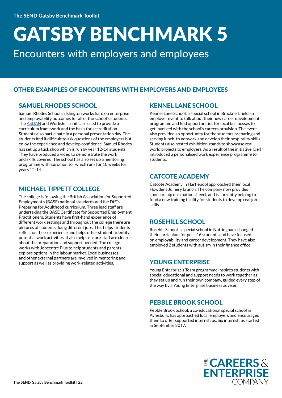Encounters with employers and employees

#### OTHER EXAMPLES OF ENCOUNTERS WITH EMPLOYERS AND EMPLOYEES

#### SAMUEL RHODES SCHOOL

Samuel Rhodes School in Islington works hard on enterprise and employability outcomes for all of the school's students. The [ASDAN](https://www.asdan.org.uk/) and Workskills units are used to provide a curriculum framework and the basis for accreditation. Students also participate in a personal presentation day. The students find it difficult to ask questions of the employers but enjoy the experience and develop confidence. Samuel Rhodes has set up a tuck shop which is run by year 12-14 students. They have produced a video to demonstrate the work and skills covered. The school has also set up a mentoring programme with Euromonitor which runs for 10 weeks for years 12-14.

#### MICHAEL TIPPETT COLLEGE

The college is following the British Association for Supported Employment's (BASE) national standards and the DfE's Preparing for Adulthood curriculum. Three lead staff are undertaking the BASE Certificate for Supported Employment Practitioners. Students have first-hand experience of different work settings and throughout the college there are pictures of students doing different jobs. This helps students reflect on their experience and helps other students identify potential work activities. It also helps ensure staff are clearer about the preparation and support needed. The college works with Jobcentre Plus to help students and parents explore options in the labour market. Local businesses and other external partners are involved in mentoring and support as well as providing work-related activities.

#### KENNEL LANE SCHOOL

Kennel Lane School, a special school in Bracknell, held an employer event to talk about their new career development programme and find opportunities for local businesses to get involved with the school's careers provision. The event also provided an opportunity for the students preparing and serving lunch, to network and develop their hospitality skills. Students also hosted exhibition stands to showcase realworld projects to employers. As a result of the initiative, Dell introduced a personalised work experience programme to students.

#### CATCOTE ACADEMY

Catcote Academy in Hartlepool approached their local Howdens Joinery branch. The company now provides sponsorship on a national level, and is currently helping to fund a new training facility for students to develop real job skills.

#### ROSEHILL SCHOOL

Rosehill School, a special school in Nottingham, changed their curriculum for post-16 students and have focused on employability and career development. They have also employed 2 students with autism in their finance office.

#### YOUNG ENTERPRISE

Young Enterprise's Team programme inspires students with special educational and support needs to work together as they set up and run their own company, guided every step of the way by a Young Enterprise business adviser.

#### PEBBLE BROOK SCHOOL

Pebble Brook School, a co-educational special school in Aylesbury, has approached local employers and encouraged them to offer supported internships. Six internships started in September 2017.

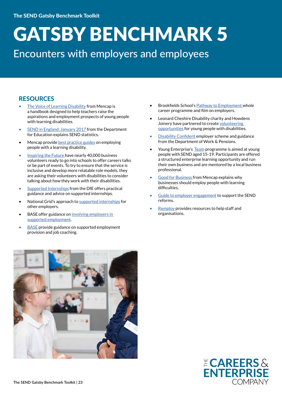### Encounters with employers and employees

#### **RESOURCES**

- [The Voice of Learning Disability](https://www.mencap.org.uk/sites/default/files/2017-06/2017.061%20Benefits%20of%20employing%20PWLD%255b1%255d%20%281%29.pdf) from Mencap is a handbook designed to help teachers raise the aspirations and employment prospects of young people with learning disabilities.
- [SEND in England: January 2017 f](https://www.gov.uk/government/uploads/system/uploads/attachment_data/file/633031/SFR37_2017_Main_Text.pdf)rom the Department for Education explains SEND statistics.
- Mencap provide **best practice guides** on employing people with a learning disability.
- [Inspiring the Future h](https://www.inspiringthefuture.org/)ave nearly 40,000 business volunteers ready to go into schools to offer careers talks or be part of events. To try to ensure that the service is inclusive and develop more relatable role models, they are asking their volunteers with disabilities to consider talking about how they work with their disabilities.
- [Supported Internships](https://www.gov.uk/government/uploads/system/uploads/attachment_data/file/620920/Supported_Internship_Guidance_updated_with_EFA_funding_advice_May_2017_2.pdf) from the DfE offers practical guidance and advice on supported internships.
- National Grid's approach to [supported internships](http://nationalgridconnecting.com/hidden-talent/) for other employers.
- BASE offer guidance on involving employers in [supported employment](https://www.base-uk.org/employer-engagement-0).
- **BASE** provide guidance on supported employment provision and job coaching.
- Brookfields School's [Pathway to Employment](http://brookfieldsschool.org/curriculum/what-we-teach/pathway-to-employment/) whole career programme and film on employers.
- Leonard Cheshire Disability charity and Howdens Joinery have partnered to create [volunteering](https://www.leonardcheshire.org/support-and-information/life-and-work-skills-development/can-do)  [opportunities](https://www.leonardcheshire.org/support-and-information/life-and-work-skills-development/can-do) for young people with disabilities.
- **[Disability Confident](https://www.gov.uk/government/collections/disability-confident-campaign) employer scheme and guidance** from the Department of Work & Pensions.
- Young Enterprise's [Team](https://www.young-enterprise.org.uk/what-we-do/secondary-programmes/team-programme/) programme is aimed at young people with SEND aged 15-19. Participants are offered a structured enterprise learning opportunity and run their own business and are mentored by a local business professional.
- **[Good for Business](https://www.base-uk.org/sites/default/files/knowledgebase/Business%20case%20for%20employing%20people%20with%20a%20learning%20disability.pdf) from Mencap explains why** businesses should employ people with learning difficulties.
- [Guide to employer engagement](https://www.ndti.org.uk/uploads/files/Employer_Engagement_and_the_SEND_Reforms_FINAL.pdf) to support the SEND reforms.
- [Remploy](http://www.remploy.co.uk/info/20013/support_my_employees) provides resources to help staff and organisations.



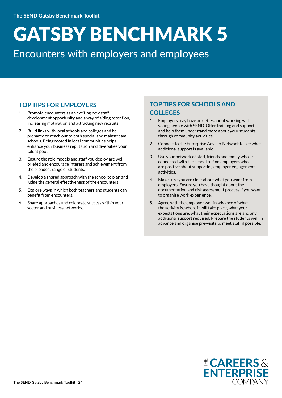### Encounters with employers and employees

#### TOP TIPS FOR EMPLOYERS

- 1. Promote encounters as an exciting new staff development opportunity and a way of aiding retention, increasing motivation and attracting new recruits.
- 2. Build links with local schools and colleges and be prepared to reach out to both special and mainstream schools. Being rooted in local communities helps enhance your business reputation and diversifies your talent pool.
- 3. Ensure the role models and staff you deploy are well briefed and encourage interest and achievement from the broadest range of students.
- 4. Develop a shared approach with the school to plan and judge the general effectiveness of the encounters.
- 5. Explore ways in which both teachers and students can benefit from encounters.
- 6. Share approaches and celebrate success within your sector and business networks.

#### TOP TIPS FOR SCHOOLS AND **COLLEGES**

- Employers may have anxieties about working with young people with SEND. Offer training and support and help them understand more about your students through community activities.
- 2. Connect to the Enterprise Adviser Network to see what additional support is available.
- 3. Use your network of staff, friends and family who are connected with the school to find employers who are positive about supporting employer engagement activities.
- 4. Make sure you are clear about what you want from employers. Ensure you have thought about the documentation and risk assessment process if you want to organise work experience.
- 5. Agree with the employer well in advance of what the activity is, where it will take place, what your expectations are, what their expectations are and any additional support required. Prepare the students well in advance and organise pre-visits to meet staff if possible.

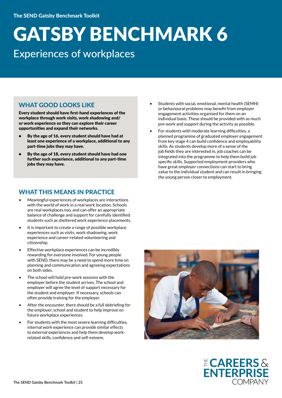### Experiences of workplaces

#### WHAT GOOD LOOKS LIKE

Every student should have first-hand experiences of the workplace through work visits, work shadowing and/ or work experience so they can explore their career opportunities and expand their networks.

- By the age of 16, every student should have had at least one experience of a workplace, additional to any part-time jobs they may have.
- By the age of 18, every student should have had one further such experience, additional to any part-time jobs they may have.

#### WHAT THIS MEANS IN PRACTICE

- Meaningful experiences of workplaces are interactions with the world of work in a real work location. Schools are real workplaces too, and can offer an appropriate balance of challenge and support for carefully identified students such as sheltered work experience placements.
- It is important to create a range of possible workplace experiences such as visits, work shadowing, work experience and career-related volunteering and citizenship.
- Effective workplace experiences can be incredibly rewarding for everyone involved. For young people with SEND, there may be a need to spend more time on planning and communication and agreeing expectations on both sides.
- The school will hold pre-work sessions with the employer before the student arrives. The school and employer will agree the level of support necessary for the student and employer. If necessary, schools can often provide training for the employer.
- After the encounter, there should be a full debriefing for the employer, school and student to help improve on future workplace experiences.
- For students with the most severe learning difficulties, internal work experience can provide similar effects to external experiences and help them develop workrelated skills, confidence and self-esteem.
- Students with social, emotional, mental health (SEMH) or behavioural problems may benefit from employer engagement activities organised for them on an individual basis. These should be provided with as much pre-work and support during the activity as possible.
- For students with moderate learning difficulties, a planned programme of graduated employer engagement from key stage 4 can build confidence and employability skills. As students develop more of a sense of the job fields they are interested in, job coaches can be integrated into the programme to help them build job specific skills. Supported employment providers who have great employer connections can start to bring value to the individual student and can result in bringing the young person closer to employment.



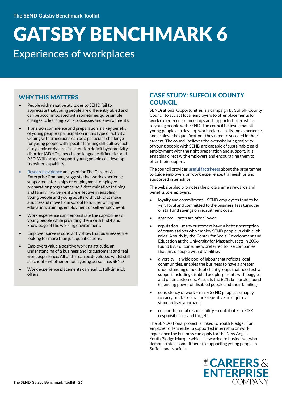### GATSBY BENCHMARK 6 Experiences of workplaces

#### WHY THIS MATTERS

- People with negative attitudes to SEND fail to appreciate that young people are differently abled and can be accommodated with sometimes quite simple changes to learning, work processes and environments.
- Transition confidence and preparation is a key benefit of young people's participation in this type of activity. Coping with transitions can be a particular challenge for young people with specific learning difficulties such as dyslexia or dyspraxia, attention deficit hyperactivity disorder (ADHD), speech and language difficulties and ASD. With proper support young people can develop transition capability.
- [Research evidence](https://www.careersandenterprise.co.uk/research/transition-programmes-young-adults-send-what-works) analysed for The Careers & Enterprise Company suggests that work experience, supported internships or employment, employee preparation programmes, self-determination training and family involvement are effective in enabling young people and young adults with SEND to make a successful move from school to further or higher education, training, employment or self-employment.
- Work experience can demonstrate the capabilities of young people while providing them with first-hand knowledge of the working environment.
- Employer surveys constantly show that businesses are looking for more than just qualifications.
- Employers value a positive working attitude, an understanding of a business and its customers and real work experience. All of this can be developed whilst still at school – whether or not a young person has SEND.
- Work experience placements can lead to full-time job offers.

#### CASE STUDY: SUFFOLK COUNTY **COUNCIL**

SENDsational Opportunities is a campaign by Suffolk County Council to attract local employers to offer placements for work experience, traineeships and supported internships to young people with SEND. The council believes that all young people can develop work-related skills and experience, and achieve the qualifications they need to succeed in their careers. The council believes the overwhelming majority of young people with SEND are capable of sustainable paid employment with the right preparation and support. It is engaging direct with employers and encouraging them to offer their support.

The council provides [useful factsheets](https://www.suffolk.gov.uk/business-jobs-and-careers/sendsational-opportunities) about the programme to guide employers on work experience, traineeships and supported internships.

The website also promotes the programme's rewards and benefits to employers:

- loyalty and commitment SEND employees tend to be very loyal and committed to the business, less turnover of staff and savings on recruitment costs
- absence rates are often lower
- reputation many customers have a better perception of organisations who employ SEND people in visible job roles. A study by the Center for Social Development and Education at the University for Massachusetts in 2006 found 87% of consumers preferred to use companies that hired people with disabilities
- diversity a wide pool of labour that reflects local communities, enables the business to have a greater understanding of needs of client groups that need extra support including disabled people, parents with buggies and older customers. Attracts the £212bn purple pound (spending power of disabled people and their families)
- consistency of work many SEND people are happy to carry out tasks that are repetitive or require a standardised approach
- corporate social responsibility contributes to CSR responsibilities and targets.

The SENDsational project is linked to Youth Pledge. If an employer offers either a supported internship or work experience the business can apply for the New Anglia Youth Pledge Marque which is awarded to businesses who demonstrate a commitment to supporting young people in Suffolk and Norfolk.

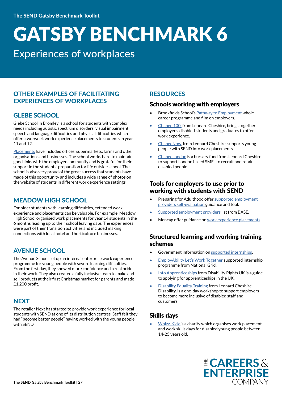### Experiences of workplaces

#### OTHER EXAMPLES OF FACILITATING EXPERIENCES OF WORKPLACES

#### GLEBE SCHOOL

Glebe School in Bromley is a school for students with complex needs including autistic spectrum disorders, visual impairment, speech and language difficulties and physical difficulties which offers two-week work experience placements to students in year 11 and 12.

[Placements](http://www.glebe.bromley.sch.uk/news/detail/work-experience-2017/) have included offices, supermarkets, farms and other organisations and businesses. The school works hard to maintain good links with the employer community and is grateful for their support in the students' preparation for life outside school. The school is also very proud of the great success that students have made of this opportunity and includes a wide range of photos on the website of students in different work experience settings.

#### MEADOW HIGH SCHOOL

For older students with learning difficulties, extended work experience and placements can be valuable. For example, Meadow High School organised work placements for year 14 students in the 6 months leading up to their school leaving date. The experiences were part of their transition activities and included making connections with local hotel and horticulture businesses.

#### AVENUE SCHOOL

The Avenue School set up an internal enterprise work experience programme for young people with severe learning difficulties. From the first day, they showed more confidence and a real pride in their work. They also created a fully inclusive team to make and sell products at their first Christmas market for parents and made £1,200 profit.

#### **NEXT**

The retailer Next has started to provide work experience for local students with SEND at one of its distribution centres. Staff felt they had "become better people" having worked with the young people with SEND.

#### RESOURCES

#### Schools working with employers

- Brookfields School's [Pathway to Employment](http://brookfieldsschool.org/curriculum/what-we-teach/pathway-to-employment/) whole career programme and film on employers.
- [Change 100,](https://www.leonardcheshire.org/support-and-information/life-and-work-skills-development/employment-programmes/change100/students) from Leonard Cheshire, brings together employers, disabled students and graduates to offer work experience.
- [ChangeNow,](https://www.leonardcheshire.org/support-and-information/life-and-work-skills-development/employment-programmes/changenow) from Leonard Cheshire, supports young people with SEND into work placements.
- [ChangeLondon](https://www.leonardcheshire.org/support-and-information/life-and-work-skills-development/employment-programmes/changelondon) is a bursary fund from Leonard Cheshire to support London based SMEs to recruit and retain disabled people.

#### Tools for employers to use prior to working with students with SEND

- Preparing for Adulthood offer supported employment [providers self-evaluation g](https://www.preparingforadulthood.org.uk/downloads/pfa-self-evaluation-tool/supported-employment-providers.htm)uidance and tool.
- [Supported employment providers](https://www.base-uk.org/publisher/supported-employment-associations) list from BASE.
- Mencap offer guidance on [work experience placements.](https://www.mencap.org.uk/work-experience-placements-information-employers)

#### Structured learning and working training schemes

- Government information on [supported internships](https://www.gov.uk/government/publications/supported-internships-for-young-people-with-learning-difficulties).
- EmployAbility [Let's Work Together](https://www.bitc.org.uk/our-resources/case-studies/national-grid-employability-let%E2%80%99s-work-together) supported internship programme from National Grid.
- [Into Apprenticeships](https://www.disabilityrightsuk.org/intoapprenticeships) from Disability Rights UK is a guide to applying for apprenticeships in the UK.
- **[Disability Equality Training](https://www.leonardcheshire.org/support-and-information/for-businesses/disability-equality-training ) from Leonard Cheshire** Disability, is a one-day workshop to support employers to become more inclusive of disabled staff and customers.

#### Skills days

• [Whizz-Kidz](http://www.whizz-kidz.org.uk/get-our-help/young-people/work-placements) is a charity which organises work placement and work skills days for disabled young people between 14-25 years old.

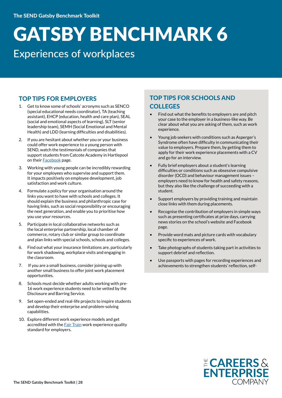### Experiences of workplaces

#### TOP TIPS FOR EMPLOYERS

- 1. Get to know some of schools' acronyms such as SENCO (special educational needs coordinator), TA (teaching assistant), EHCP (education, health and care plan), SEAL (social and emotional aspects of learning), SLT (senior leadership team), SEMH (Social Emotional and Mental Health) and LDD (learning difficulties and disabilities).
- 2. If you are hesitant about whether you or your business could offer work experience to a young person with SEND, watch the testimonials of companies that support students from Catcote Academy in Hartlepool on their [Facebook](https://www.facebook.com/CatcoteAcademy/videos/1783025801713079/) page.
- 3. Working with young people can be incredibly rewarding for your employees who supervise and support them. It impacts positively on employee development, job satisfaction and work culture.
- 4. Formulate a policy for your organisation around the links you want to have with schools and colleges. It should explain the business and philanthropic case for having links, such as social responsibility or encouraging the next generation, and enable you to prioritise how you use your resources.
- 5. Participate in local collaborative networks such as the local enterprise partnership, local chamber of commerce, rotary club or similar group to coordinate and plan links with special schools, schools and colleges.
- 6. Find out what your insurance limitations are, particularly for work shadowing, workplace visits and engaging in the classroom.
- 7. If you are a small business, consider joining up with another small business to offer joint work placement opportunities.
- 8. Schools must decide whether adults working with pre-16 work experience students need to be vetted by the Disclosure and Barring Service.
- 9. Set open-ended and real-life projects to inspire students and develop their enterprise and problem-solving capabilities.
- 10. Explore different work experience models and get accredited with the **Fair Train** work experience quality standard for employers.

#### TOP TIPS FOR SCHOOLS AND **COLLEGES**

- Find out what the benefits to employers are and pitch your case to the employer in a business-like way. Be clear about what you are asking of them, such as work experience.
- Young job seekers with conditions such as Asperger's Syndrome often have difficulty in communicating their value to employers. Prepare them, by getting them to apply for their work experience placements with a CV and go for an interview.
- Fully brief employers about a student's learning difficulties or conditions such as obsessive compulsive disorder (OCD) and behaviour management issues – employers need to know for health and safety reasons, but they also like the challenge of succeeding with a student.
- Support employers by providing training and maintain close links with them during placements.
- Recognise the contribution of employers in simple ways such as presenting certificates at prize days, carrying news stories on the school's website and Facebook page.
- Provide word mats and picture cards with vocabulary specific to experiences of work.
- Take photographs of students taking part in activities to support debrief and reflection.
- Use passports with pages for recording experiences and achievements to strengthen students' reflection, self-

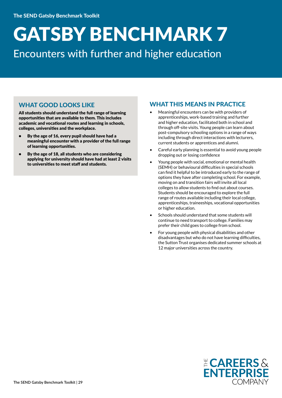### Encounters with further and higher education

#### WHAT GOOD LOOKS LIKE

All students should understand the full range of learning opportunities that are available to them. This includes academic and vocational routes and learning in schools, colleges, universities and the workplace.

- By the age of 16, every pupil should have had a meaningful encounter with a provider of the full range of learning opportunities.
- By the age of 18, all students who are considering applying for university should have had at least 2 visits to universities to meet staff and students.

#### WHAT THIS MEANS IN PRACTICE

- Meaningful encounters can be with providers of apprenticeships, work-based training and further and higher education, facilitated both in school and through off-site visits. Young people can learn about post-compulsory schooling options in a range of ways including through direct interactions with lecturers, current students or apprentices and alumni.
- Careful early planning is essential to avoid young people dropping out or losing confidence
- Young people with social, emotional or mental health (SEMH) or behavioural difficulties in special schools can find it helpful to be introduced early to the range of options they have after completing school. For example, moving on and transition fairs will invite all local colleges to allow students to find out about courses. Students should be encouraged to explore the full range of routes available including their local college, apprenticeships, traineeships, vocational opportunities or higher education.
- Schools should understand that some students will continue to need transport to college. Families may prefer their child goes to college from school.
- For young people with physical disabilities and other disadvantages but who do not have learning difficulties, the Sutton Trust organises dedicated summer schools at 12 major universities across the country.

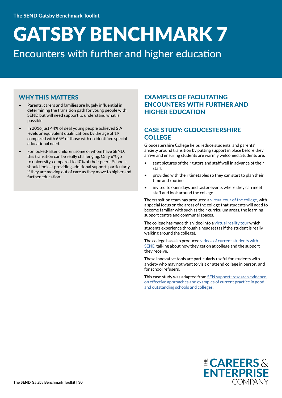Encounters with further and higher education

#### WHY THIS MATTERS

- Parents, carers and families are hugely influential in determining the transition path for young people with SEND but will need support to understand what is possible.
- In 2016 just 44% of deaf young people achieved 2 A levels or equivalent qualifications by the age of 19 compared with 65% of those with no identified special educational need.
- For looked-after children, some of whom have SEND, this transition can be really challenging. Only 6% go to university, compared to 40% of their peers. Schools should look at providing additional support, particularly if they are moving out of care as they move to higher and further education.

#### EXAMPLES OF FACILITATING ENCOUNTERS WITH FURTHER AND HIGHER EDUCATION

#### CASE STUDY: GLOUCESTERSHIRE **COLLEGE**

Gloucestershire College helps reduce students' and parents' anxiety around transition by putting support in place before they arrive and ensuring students are warmly welcomed. Students are:

- sent pictures of their tutors and staff well in advance of their start
- provided with their timetables so they can start to plan their time and routine
- invited to open days and taster events where they can meet staff and look around the college

The transition team has produced a [virtual tour of the college,](http://www.gloscol.ac.uk/student-and-parent-guide/learning-support-and-accessibility/) with a special focus on the areas of the college that students will need to become familiar with such as their curriculum areas, the learning support centre and communal spaces.

The college has made this video into a [virtual reality tour w](http://www.gloscol.ac.uk/about-us-and-jobs-at-gc/campuses-and-contacts/virtual-tours/)hich students experience through a headset (as if the student is really walking around the college).

The college has also produced videos of current students with [SEND](https://vimeo.com/183004359) talking about how they get on at college and the support they receive.

These innovative tools are particularly useful for students with anxiety who may not want to visit or attend college in person, and for school refusers.

This case study was adapted from [SEN support: research evidence](http://www.sendgateway.org.uk/resources.sen-support-research-evidence-on-effective-approaches-and-examples-of-current-practice-in-good-and-outstanding-schools-and-colleges.html)  [on effective approaches and examples of current practice in good](http://www.sendgateway.org.uk/resources.sen-support-research-evidence-on-effective-approaches-and-examples-of-current-practice-in-good-and-outstanding-schools-and-colleges.html)  [and outstanding schools and colleges.](http://www.sendgateway.org.uk/resources.sen-support-research-evidence-on-effective-approaches-and-examples-of-current-practice-in-good-and-outstanding-schools-and-colleges.html)

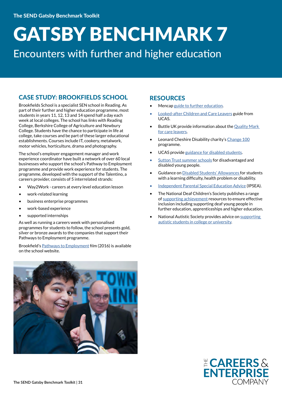### Encounters with further and higher education

#### CASE STUDY: BROOKFIELDS SCHOOL

Brookfields School is a specialist SEN school in Reading. As part of their further and higher education programme, most students in years 11, 12, 13 and 14 spend half a day each week at local colleges. The school has links with Reading College, Berkshire College of Agriculture and Newbury College. Students have the chance to participate in life at college, take courses and be part of these larger educational establishments. Courses include IT, cookery, metalwork, motor vehicles, horticulture, drama and photography.

The school's employer engagement manager and work experience coordinator have built a network of over 60 local businesses who support the school's Pathway to Employment programme and provide work experience for students. The programme, developed with the support of the Talentino, a careers provider, consists of 5 interrelated strands:

- Way2Work careers at every level education lesson
- work-related learning
- business enterprise programmes
- work-based experience
- supported internships

As well as running a careers week with personalised programmes for students to follow, the school presents gold, silver or bronze awards to the companies that support their Pathways to Employment programme.

Brookfield's [Pathways to Employment](http://brookfieldsschool.org/curriculum/what-we-teach/pathway-to-employment/) film (2016) is available on the school website.



#### RESOURCES

- Mencap [guide to further education](https://www.mencap.org.uk/advice-and-support/children-and-young-people/education-support/further-education).
- [Looked-after Children and Care Leavers](https://www.ucas.com/file/4996/download?token=Yl9B1Wwh) guide from UCAS.
- Buttle UK provide information about the Quality Mark [for care leavers](http://www.buttleuk.org/areas-of-focus/quality-mark-for-care-leavers).
- Leonard Cheshire Disability charity's [Change 100](https://www.leonardcheshire.org/support-and-information/life-and-work-skills-development/employment-programmes/change100/students) programme.
- UCAS provide [guidance for disabled students.](https://www.ucas.com/ucas/undergraduate/getting-started/individual-needs/disabled-students)
- [Sutton Trust summer schools](https://summerschools.suttontrust.com/) for disadvantaged and disabled young people.
- Guidance on [Disabled Students' Allowances f](https://www.gov.uk/disabled-students-allowances-dsas)or students with a learning difficulty, health problem or disability.
- [Independent Parental Special Education Advice](https://www.ipsea.org.uk/) (IPSEA).
- The National Deaf Children's Society publishes a range of [supporting achievement](http://www.ndcs.org.uk/professional_support/our_resources/supporting.html#contentblock9) resources to ensure effective inclusion including supporting deaf young people in further education, apprenticeships and higher education.
- National Autistic Society provides advice on [supporting](http://www.autism.org.uk/professionals/teachers/fe-he.aspx)  [autistic students in college or university.](http://www.autism.org.uk/professionals/teachers/fe-he.aspx)

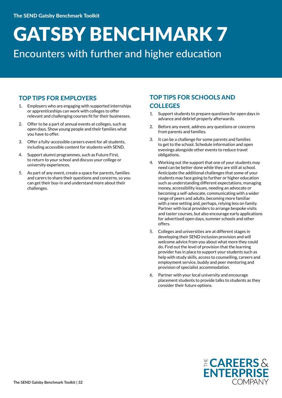### Encounters with further and higher education

#### TOP TIPS FOR EMPLOYERS

- 1. Employers who are engaging with supported internships or apprenticeships can work with colleges to offer relevant and challenging courses fit for their businesses.
- 2. Offer to be a part of annual events at colleges, such as open days. Show young people and their families what you have to offer.
- 3. Offer a fully-accessible careers event for all students, including accessible content for students with SEND.
- 4. Support alumni programmes, such as Future First, to return to your school and discuss your college or university experiences.
- 5. As part of any event, create a space for parents, families and carers to share their questions and concerns, so you can get their buy-in and understand more about their challenges.

#### TOP TIPS FOR SCHOOLS AND **COLLEGES**

- 1. Support students to prepare questions for open days in advance and debrief properly afterwards.
- 2. Before any event, address any questions or concerns from parents and families.
- 3. It can be a challenge for some parents and families to get to the school. Schedule information and open evenings alongside other events to reduce travel obligations.
- 4. Working out the support that one of your students may need can be better done while they are still at school. Anticipate the additional challenges that some of your students may face going to further or higher education such as understanding different expectations, managing money, accessibility issues, needing an advocate or becoming a self-advocate, communicating with a wider range of peers and adults, becoming more familiar with a new setting and, perhaps, relying less on family. Partner with local providers to arrange bespoke visits and taster courses, but also encourage early applications for advertised open days, summer schools and other offers.
- 5. Colleges and universities are at different stages in developing their SEND inclusion provision and will welcome advice from you about what more they could do. Find out the level of provision that the learning provider has in place to support your students such as help with study skills, access to counselling, careers and employment service, buddy and peer mentoring and provision of specialist accommodation.
- 6. Partner with your local university and encourage placement students to provide talks to students as they consider their future options.

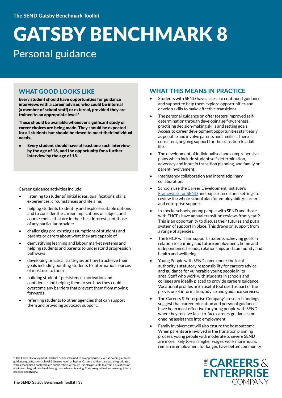### GATSBY BENCHMARK 8 Personal guidance

#### WHAT GOOD LOOKS LIKE

Every student should have opportunities for guidance interviews with a career adviser, who could be internal (a member of school staff) or external, provided they are trained to an appropriate level.\*

These should be available whenever significant study or career choices are being made. They should be expected for all students but should be timed to meet their individual needs.

• Every student should have at least one such interview by the age of 16, and the opportunity for a further interview by the age of 18.

Career guidance activities include:

- listening to students' initial ideas, qualifications, skills, experiences, circumstances and life aims
- helping students to identify and explore suitable options and to consider the career implications of subject and course choice that are in their best interests not those of any particular provider
- challenging pre-existing assumptions of students and parents or carers about what they are capable of
- demystifying learning and labour market systems and helping students and parents to understand progression pathways
- developing practical strategies on how to achieve their goals including pointing students to information sources of most use to them
- building students' persistence, motivation and confidence and helping them to see how they could overcome any barriers that prevent them from moving forwards
- referring students to other agencies that can support them and providing advocacy support.

#### WHAT THIS MEANS IN PRACTICE

- Students with SEND have access to continued guidance and support to help them explore opportunities and develop skills to make effective transitions.
- The personal guidance on offer fosters improved selfdetermination through developing self-awareness, practising decision-making skills and setting goals. Access to career development opportunities start early as possible and involve parents and families. There is consistent, ongoing support for the transition to adult life.
- The development of individualised and comprehensive plans which include student self-determination, advocacy and input in transition planning, and family or parent involvement.
- Interagency collaboration and interdisciplinary collaboration.
- Schools use the Career Development Institute's [Framework for SEND](http://www.thecdi.net/write/Documents/CDI_Career_framework_-_SEND-PRU.pdf) and pupil referral unit settings to review the whole school plan for employability, careers and enterprise support.
- In special schools, young people with SEND and those with EHCPs have annual transition reviews from year 9. This is an opportunity to discuss their futures and put a system of support in place. This draws on support from a range of agencies.
- The EHCP will aim support students achieving goals in relation to learning and future employment, home and independence, friends, relationships and community and health and wellbeing.
- Young People with SEND come under the local authority's statutory responsibility for careers advice and guidance for vulnerable young people in its area. Staff who work with students in schools and colleges are ideally placed to provide careers guidance. Vocational profiles are a useful tool used as part of the provision of information, advice and guidance services.
- The Careers & Enterprise Company's research findings suggest that career education and personal guidance have been most effective for young people with SEND when they receive face-to-face careers guidance and ongoing assistance into employment.
- Family involvement will also ensure the best outcome. When parents are involved in the transition planning process, young people with moderate to severe SEND are more likely to earn higher wages, work more hours, remain in employment for longer, have better community



<sup>\*</sup> The Career Development Institute defines 'trained to an appropriate level' as holding a career guidance qualification at level 6 (degree level) or higher. Careers advisers are usually graduates guidance qualification at to complete position, although it is also possible to attain a qualification with a recognised postgraduate qualification, although it is also possible to attain a qualification equivalent to graduate level through work-based training. They are qualified in careers guidance practice and theory.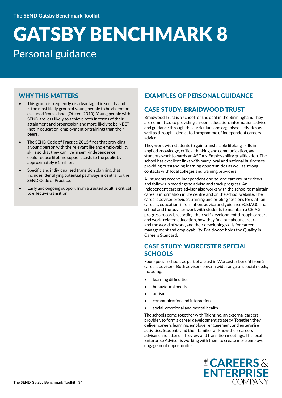### GATSBY BENCHMARK 8 Personal guidance

#### WHY THIS MATTERS

- This group is frequently disadvantaged in society and is the most likely group of young people to be absent or excluded from school (Ofsted, 2010). Young people with SEND are less likely to achieve both in terms of their attainment and progression and more likely to be NEET (not in education, employment or training) than their peers.
- The SEND Code of Practice 2015 finds that providing a young person with the relevant life and employability skills so that they can live in semi-independence could reduce lifetime support costs to the public by approximately £1 million.
- Specific and individualised transition planning that includes identifying potential pathways is central to the SEND Code of Practice.
- Early and ongoing support from a trusted adult is critical to effective transition.

#### EXAMPLES OF PERSONAL GUIDANCE

#### CASE STUDY: BRAIDWOOD TRUST

Braidwood Trust is a school for the deaf in the Birmingham. They are committed to providing careers education, information, advice and guidance through the curriculum and organised activities as well as through a dedicated programme of independent careers advice.

They work with students to gain transferable lifelong skills in applied knowledge, critical thinking and communication, and students work towards an ASDAN Employability qualification. The school has excellent links with many local and national businesses providing outstanding learning opportunities as well as strong contacts with local colleges and training providers.

All students receive independent one-to-one careers interviews and follow-up meetings to advise and track progress. An independent careers adviser also works with the school to maintain careers information in the centre and on the school website. The careers adviser provides training and briefing sessions for staff on careers, education, information, advice and guidance (CEIAG). The school and the adviser work with students to maintain a CEIAG progress record, recording their self-development through careers and work-related education, how they find out about careers and the world of work, and their developing skills for career management and employability. Braidwood holds the Quality in Careers Standard.

#### CASE STUDY: WORCESTER SPECIAL **SCHOOLS**

Four special schools as part of a trust in Worcester benefit from 2 careers advisers. Both advisers cover a wide range of special needs, including:

- learning difficulties
- behavioural needs
- autism
- communication and interaction
- social, emotional and mental health

The schools come together with Talentino, an external careers provider, to form a career development strategy. Together, they deliver careers learning, employer engagement and enterprise activities. Students and their families all know their careers advisers and attend all review and transition meetings. The local Enterprise Adviser is working with them to create more employer engagement opportunities.

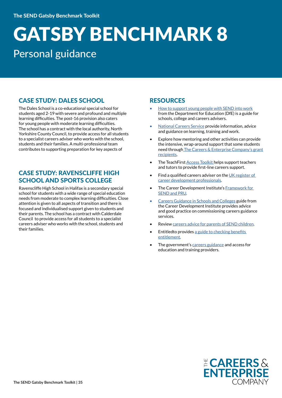### GATSBY BENCHMARK 8 Personal guidance

#### CASE STUDY: DALES SCHOOL

The Dales School is a co-educational special school for students aged 2-19 with severe and profound and multiple learning difficulties. The post-16 provision also caters for young people with moderate learning difficulties. The school has a contract with the local authority, North Yorkshire County Council, to provide access for all students to a specialist careers adviser who works with the school, students and their families. A multi-professional team contributes to supporting preparation for key aspects of

#### CASE STUDY: RAVENSCLIFFE HIGH SCHOOL AND SPORTS COLLEGE

Ravenscliffe High School in Halifax is a secondary special school for students with a wide range of special education needs from moderate to complex learning difficulties. Close attention is given to all aspects of transition and there is focused and individualised support given to students and their parents. The school has a contract with Calderdale Council to provide access for all students to a specialist careers adviser who works with the school, students and their families.

#### **RESOURCES**

- [How to support young people with SEND into work](https://www.ndti.org.uk/uploads/files/How_to_Support_Young_People_With_Special_Educational_Needs_into_Work_FINAL.pdf) from the Department for Education (DfE) is a guide for schools, college and careers advisers.
- [National Careers Service](https://nationalcareersservice.direct.gov.uk/) provide information, advice and guidance on learning, training and work.
- Explore how mentoring and other activities can provide the intensive, wrap-around support that some students need through [The Careers & Enterprise Company's grant](https://www.careersandenterprise.co.uk/mentoring-fund-grant-recipients)  [recipients](https://www.careersandenterprise.co.uk/mentoring-fund-grant-recipients).
- The TeachFirst [Access Toolkit](https://www.teachfirst.org.uk/sites/default/files/2017-09/TeachFirst-Access-Toolkit-2016-17.pdf) helps support teachers and tutors to provide first-line careers support.
- Find a qualified careers adviser on the [UK register of](http://www.thecdi.net/Professional-Register-)  [career development professionals.](http://www.thecdi.net/Professional-Register-)
- The Career Development Institute's Framework for [SEND and PRU](http://www.thecdi.net/write/Documents/CDI_Career_framework_-_SEND-PRU.pdf).
- [Careers Guidance in Schools and Colleges](http://www.thecdi.net/write/FINAL-Best_Practice_Guide-.pdf) guide from the Career Development Institute provides advice and good practice on commissioning careers guidance services.
- Review [careers advice for parents of SEND children.](https://www.careersadviceforparents.org/p/sen.html)
- Entitledto provides a guide to checking benefits [entitlement](https://www.entitledto.co.uk/).
- The government's [careers guidance](https://www.gov.uk/government/publications/careers-guidance-provision-for-young-people-in-schools) and access for education and training providers.

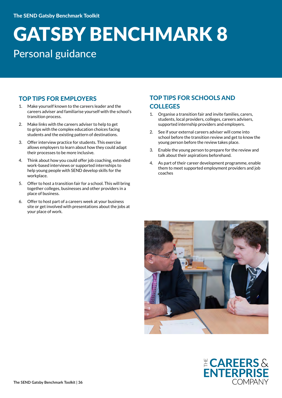### Personal guidance

#### TOP TIPS FOR EMPLOYERS

- 1. Make yourself known to the careers leader and the careers adviser and familiarise yourself with the school's transition process.
- 2. Make links with the careers adviser to help to get to grips with the complex education choices facing students and the existing pattern of destinations.
- 3. Offer interview practice for students. This exercise allows employers to learn about how they could adapt their processes to be more inclusive.
- 4. Think about how you could offer job coaching, extended work-based interviews or supported internships to help young people with SEND develop skills for the workplace.
- 5. Offer to host a transition fair for a school. This will bring together colleges, businesses and other providers in a place of business.
- 6. Offer to host part of a careers week at your business site or get involved with presentations about the jobs at your place of work.

#### TOP TIPS FOR SCHOOLS AND **COLLEGES**

- 1. Organise a transition fair and invite families, carers, students, local providers, colleges, careers advisers, supported internship providers and employers.
- 2. See if your external careers adviser will come into school before the transition review and get to know the young person before the review takes place.
- 3. Enable the young person to prepare for the review and talk about their aspirations beforehand.
- 4. As part of their career development programme, enable them to meet supported employment providers and job coaches



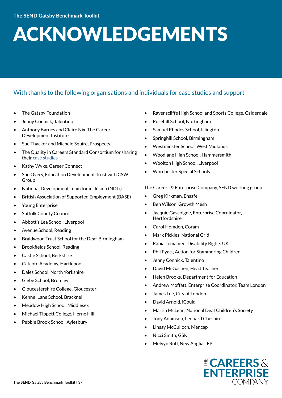## ACKNOWLEDGEMENTS

#### With thanks to the following organisations and individuals for case studies and support

- The Gatsby Foundation
- Jenny Connick, Talentino
- Anthony Barnes and Claire Nix, The Career Development Institute
- Sue Thacker and Michele Squire, Prospects
- The Quality in Careers Standard Consortium for sharing their [case studies](http://www.qualityincareers.org.uk/careers-guidance/case-studies/)
- Kathy Wyke, Career Connect
- Sue Overy, Education Development Trust with CSW Group
- National Development Team for inclusion (NDTi)
- British Association of Supported Employment (BASE)
- Young Enterprise
- Suffolk County Council
- Abbott's Lea School, Liverpool
- Avenue School, Reading
- Braidwood Trust School for the Deaf, Birmingham
- Brookfields School, Reading
- Castle School, Berkshire
- Catcote Academy, Hartlepool
- Dales School, North Yorkshire
- Glebe School, Bromley
- Gloucestershire College, Gloucester
- Kennel Lane School, Bracknell
- Meadow High School, Middlesex
- Michael Tippett College, Herne Hill
- Pebble Brook School, Aylesbury
- Ravenscliffe High School and Sports College, Calderdale
- Rosehill School, Nottingham
- Samuel Rhodes School, Islington
- Springhill School, Birmingham
- Westminster School, West Midlands
- Woodlane High School, Hammersmith
- Woolton High School, Liverpool
- Worchester Special Schools

The Careers & Enterprise Company, SEND working group:

- Greg Kirkman, Ensafe
- Ben Wilson, Growth Mesh
- Jacquie Gascoigne, Enterprise Coordinator, Hertfordshire
- Carol Homden, Coram
- Mark Pickles, National Grid
- Rabia Lemahieu, Disability Rights UK
- Phil Pyatt, Action for Stammering Children
- Jenny Connick, Talentino
- David McGachen, Head Teacher
- Helen Brooks, Department for Education
- Andrew Moffatt, Enterprise Coordinator, Team London
- James Lee, City of London
- David Arnold, iCould
- Martin McLean, National Deaf Children's Society
- Tony Adamson, Leonard Cheshire
- Linsay McCulloch, Mencap
- Nicci Smith, GSK
- Melvyn Ruff, New Anglia LEP

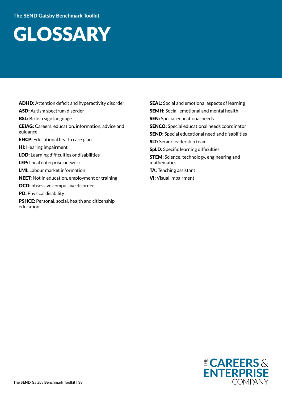### **GLOSSARY**

ADHD: Attention deficit and hyperactivity disorder ASD: Autism spectrum disorder BSL: British sign language CEIAG: Careers, education, information, advice and guidance EHCP: Educational health care plan HI: Hearing impairment LDD: Learning difficulties or disabilities LEP: Local enterprise network LMI: Labour market information NEET: Not in education, employment or training OCD: obsessive compulsive disorder PD: Physical disability PSHCE: Personal, social, health and citizenship education

**SEAL:** Social and emotional aspects of learning **SEMH:** Social, emotional and mental health **SEN:** Special educational needs SENCO: Special educational needs coordinator SEND: Special educational need and disabilities SLT: Senior leadership team SpLD: Specific learning difficulties **STEM:** Science, technology, engineering and mathematics TA: Teaching assistant VI: Visual impairment